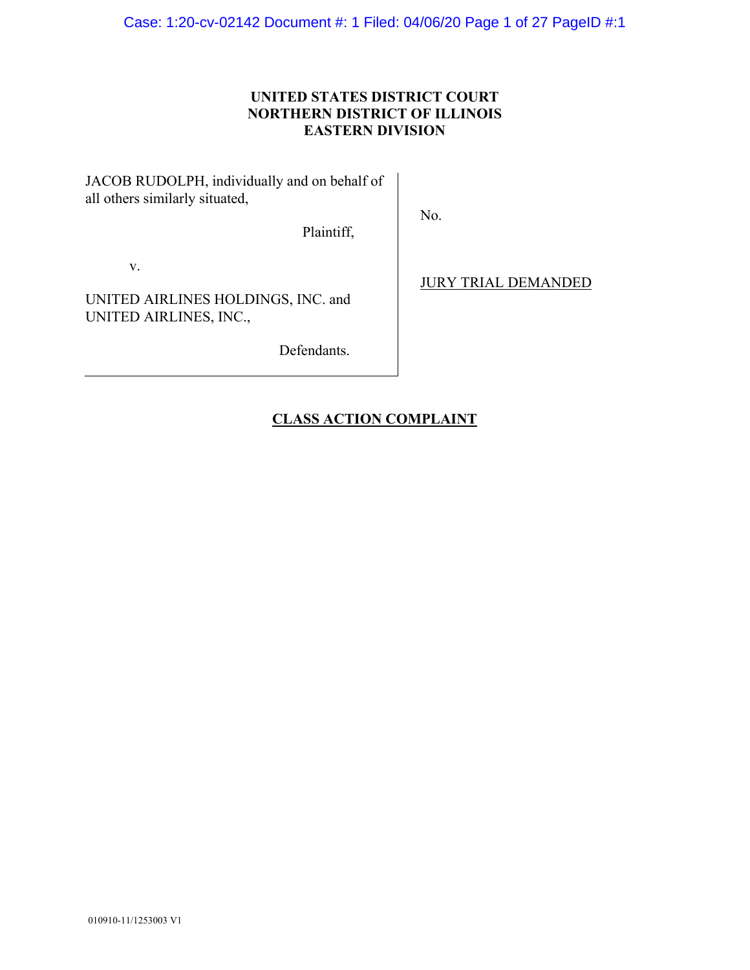Case: 1:20-cv-02142 Document #: 1 Filed: 04/06/20 Page 1 of 27 PageID #:1

# **UNITED STATES DISTRICT COURT NORTHERN DISTRICT OF ILLINOIS EASTERN DIVISION**

JACOB RUDOLPH, individually and on behalf of all others similarly situated,

No.

Plaintiff,

v.

UNITED AIRLINES HOLDINGS, INC. and UNITED AIRLINES, INC.,

Defendants.

JURY TRIAL DEMANDED

# **CLASS ACTION COMPLAINT**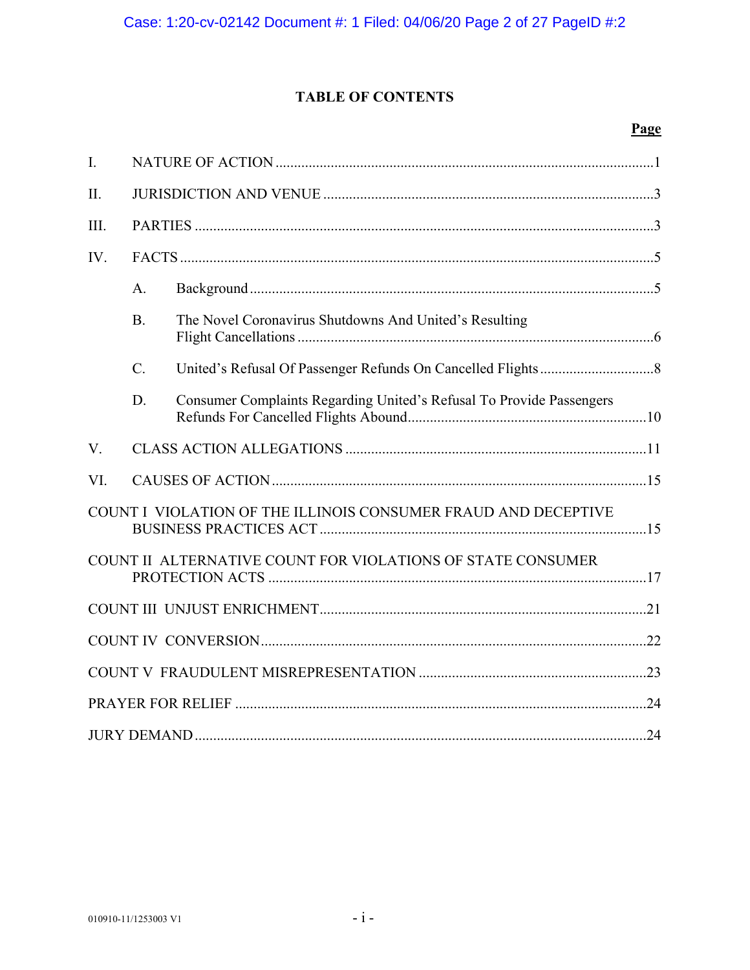# **TABLE OF CONTENTS**

# Page

| $\mathbf{I}$ .                                                 |             |                                                                      |  |  |  |  |  |  |
|----------------------------------------------------------------|-------------|----------------------------------------------------------------------|--|--|--|--|--|--|
| II.                                                            |             |                                                                      |  |  |  |  |  |  |
| III.                                                           |             |                                                                      |  |  |  |  |  |  |
| IV.                                                            |             |                                                                      |  |  |  |  |  |  |
|                                                                | A.          |                                                                      |  |  |  |  |  |  |
|                                                                | <b>B.</b>   | The Novel Coronavirus Shutdowns And United's Resulting               |  |  |  |  |  |  |
|                                                                | $C_{\cdot}$ |                                                                      |  |  |  |  |  |  |
|                                                                | D.          | Consumer Complaints Regarding United's Refusal To Provide Passengers |  |  |  |  |  |  |
| V.                                                             |             |                                                                      |  |  |  |  |  |  |
| VI.                                                            |             |                                                                      |  |  |  |  |  |  |
| COUNT I VIOLATION OF THE ILLINOIS CONSUMER FRAUD AND DECEPTIVE |             |                                                                      |  |  |  |  |  |  |
| COUNT II ALTERNATIVE COUNT FOR VIOLATIONS OF STATE CONSUMER    |             |                                                                      |  |  |  |  |  |  |
|                                                                |             |                                                                      |  |  |  |  |  |  |
|                                                                |             |                                                                      |  |  |  |  |  |  |
|                                                                |             |                                                                      |  |  |  |  |  |  |
|                                                                |             |                                                                      |  |  |  |  |  |  |
|                                                                |             |                                                                      |  |  |  |  |  |  |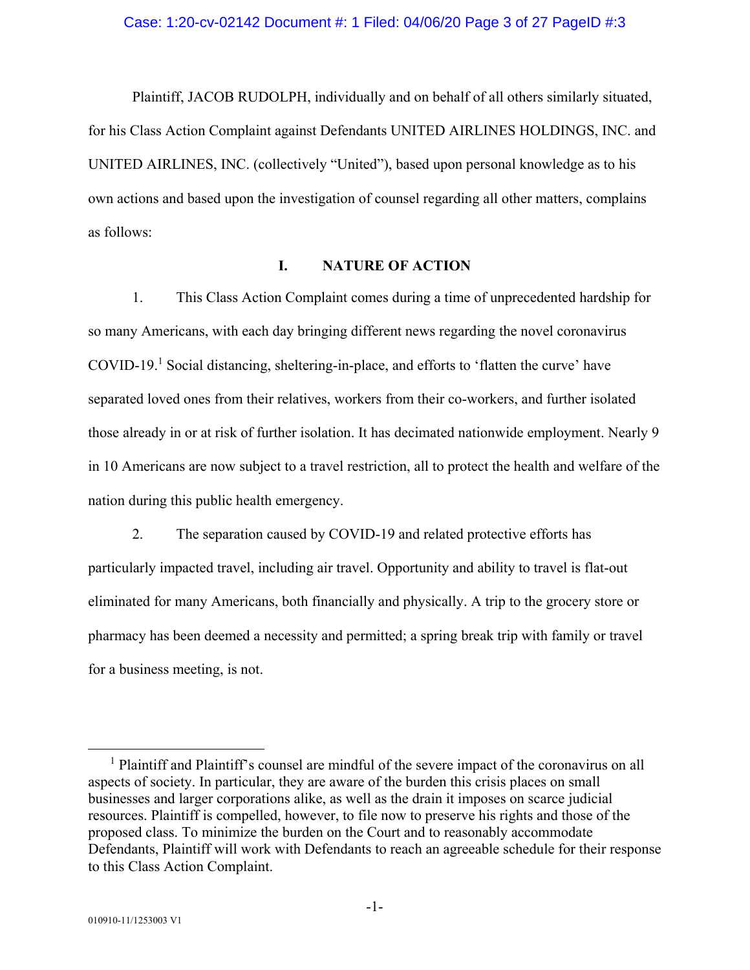#### Case: 1:20-cv-02142 Document #: 1 Filed: 04/06/20 Page 3 of 27 PageID #:3

Plaintiff, JACOB RUDOLPH, individually and on behalf of all others similarly situated, for his Class Action Complaint against Defendants UNITED AIRLINES HOLDINGS, INC. and UNITED AIRLINES, INC. (collectively "United"), based upon personal knowledge as to his own actions and based upon the investigation of counsel regarding all other matters, complains as follows:

# **I. NATURE OF ACTION**

1. This Class Action Complaint comes during a time of unprecedented hardship for so many Americans, with each day bringing different news regarding the novel coronavirus COVID-19.<sup>1</sup> Social distancing, sheltering-in-place, and efforts to 'flatten the curve' have separated loved ones from their relatives, workers from their co-workers, and further isolated those already in or at risk of further isolation. It has decimated nationwide employment. Nearly 9 in 10 Americans are now subject to a travel restriction, all to protect the health and welfare of the nation during this public health emergency.

2. The separation caused by COVID-19 and related protective efforts has particularly impacted travel, including air travel. Opportunity and ability to travel is flat-out eliminated for many Americans, both financially and physically. A trip to the grocery store or pharmacy has been deemed a necessity and permitted; a spring break trip with family or travel for a business meeting, is not.

 $\overline{\phantom{0}}$ <sup>1</sup> Plaintiff and Plaintiff's counsel are mindful of the severe impact of the coronavirus on all aspects of society. In particular, they are aware of the burden this crisis places on small businesses and larger corporations alike, as well as the drain it imposes on scarce judicial resources. Plaintiff is compelled, however, to file now to preserve his rights and those of the proposed class. To minimize the burden on the Court and to reasonably accommodate Defendants, Plaintiff will work with Defendants to reach an agreeable schedule for their response to this Class Action Complaint.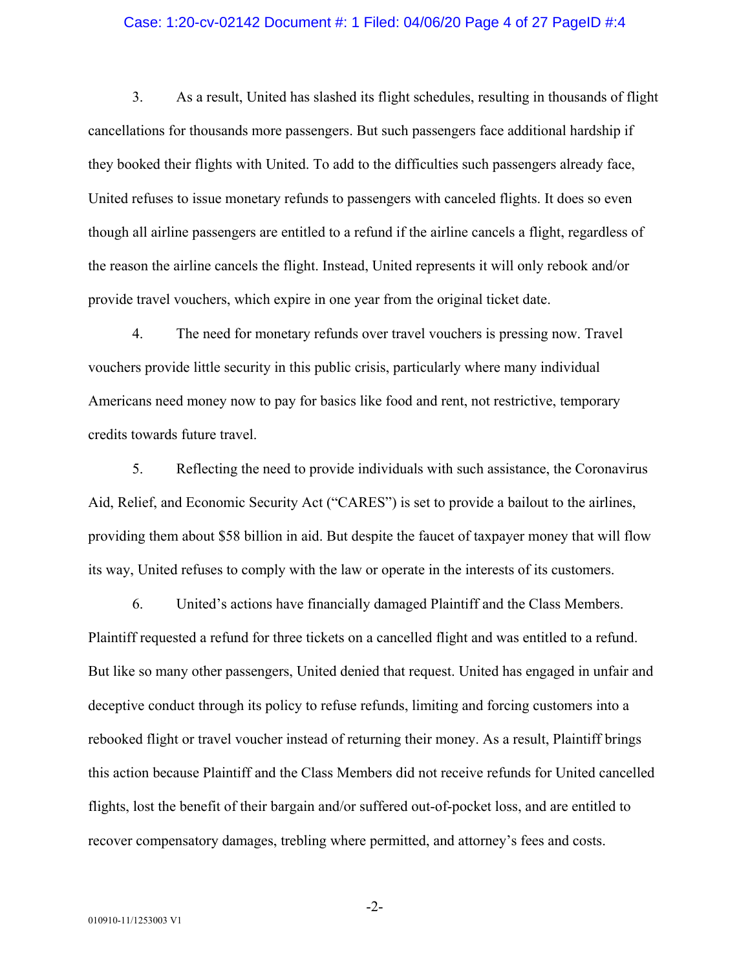#### Case: 1:20-cv-02142 Document #: 1 Filed: 04/06/20 Page 4 of 27 PageID #:4

3. As a result, United has slashed its flight schedules, resulting in thousands of flight cancellations for thousands more passengers. But such passengers face additional hardship if they booked their flights with United. To add to the difficulties such passengers already face, United refuses to issue monetary refunds to passengers with canceled flights. It does so even though all airline passengers are entitled to a refund if the airline cancels a flight, regardless of the reason the airline cancels the flight. Instead, United represents it will only rebook and/or provide travel vouchers, which expire in one year from the original ticket date.

4. The need for monetary refunds over travel vouchers is pressing now. Travel vouchers provide little security in this public crisis, particularly where many individual Americans need money now to pay for basics like food and rent, not restrictive, temporary credits towards future travel.

5. Reflecting the need to provide individuals with such assistance, the Coronavirus Aid, Relief, and Economic Security Act ("CARES") is set to provide a bailout to the airlines, providing them about \$58 billion in aid. But despite the faucet of taxpayer money that will flow its way, United refuses to comply with the law or operate in the interests of its customers.

6. United's actions have financially damaged Plaintiff and the Class Members. Plaintiff requested a refund for three tickets on a cancelled flight and was entitled to a refund. But like so many other passengers, United denied that request. United has engaged in unfair and deceptive conduct through its policy to refuse refunds, limiting and forcing customers into a rebooked flight or travel voucher instead of returning their money. As a result, Plaintiff brings this action because Plaintiff and the Class Members did not receive refunds for United cancelled flights, lost the benefit of their bargain and/or suffered out-of-pocket loss, and are entitled to recover compensatory damages, trebling where permitted, and attorney's fees and costs.

-2-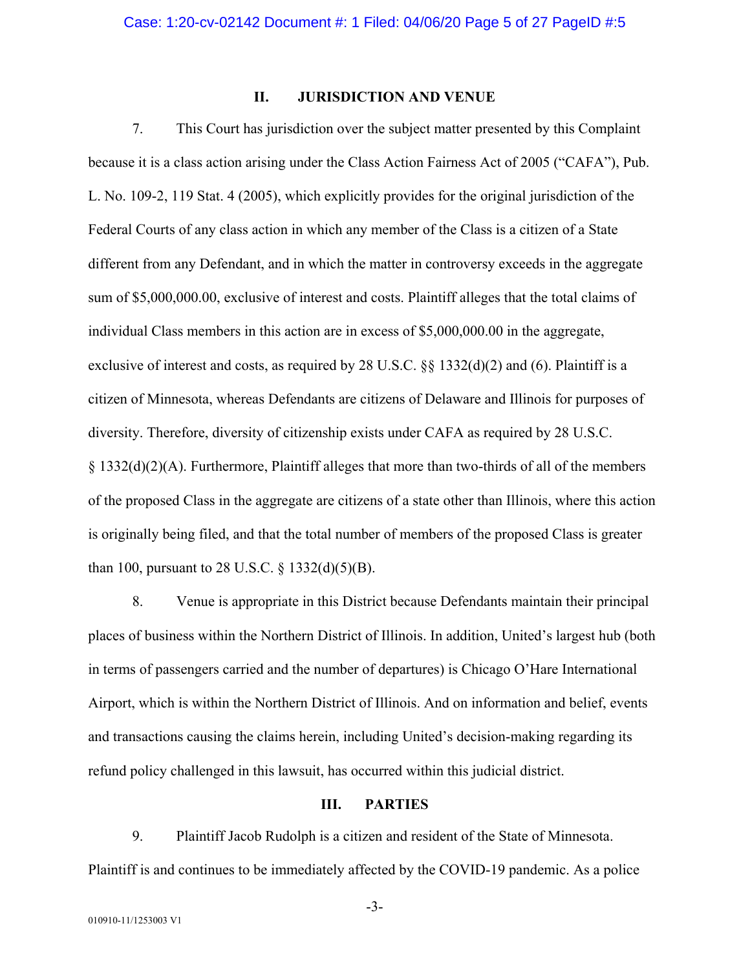## **II. JURISDICTION AND VENUE**

7. This Court has jurisdiction over the subject matter presented by this Complaint because it is a class action arising under the Class Action Fairness Act of 2005 ("CAFA"), Pub. L. No. 109-2, 119 Stat. 4 (2005), which explicitly provides for the original jurisdiction of the Federal Courts of any class action in which any member of the Class is a citizen of a State different from any Defendant, and in which the matter in controversy exceeds in the aggregate sum of \$5,000,000.00, exclusive of interest and costs. Plaintiff alleges that the total claims of individual Class members in this action are in excess of \$5,000,000.00 in the aggregate, exclusive of interest and costs, as required by 28 U.S.C. §§ 1332(d)(2) and (6). Plaintiff is a citizen of Minnesota, whereas Defendants are citizens of Delaware and Illinois for purposes of diversity. Therefore, diversity of citizenship exists under CAFA as required by 28 U.S.C. § 1332(d)(2)(A). Furthermore, Plaintiff alleges that more than two-thirds of all of the members of the proposed Class in the aggregate are citizens of a state other than Illinois, where this action is originally being filed, and that the total number of members of the proposed Class is greater than 100, pursuant to 28 U.S.C.  $\S$  1332(d)(5)(B).

8. Venue is appropriate in this District because Defendants maintain their principal places of business within the Northern District of Illinois. In addition, United's largest hub (both in terms of passengers carried and the number of departures) is Chicago O'Hare International Airport, which is within the Northern District of Illinois. And on information and belief, events and transactions causing the claims herein, including United's decision-making regarding its refund policy challenged in this lawsuit, has occurred within this judicial district.

# **III. PARTIES**

9. Plaintiff Jacob Rudolph is a citizen and resident of the State of Minnesota. Plaintiff is and continues to be immediately affected by the COVID-19 pandemic. As a police

-3-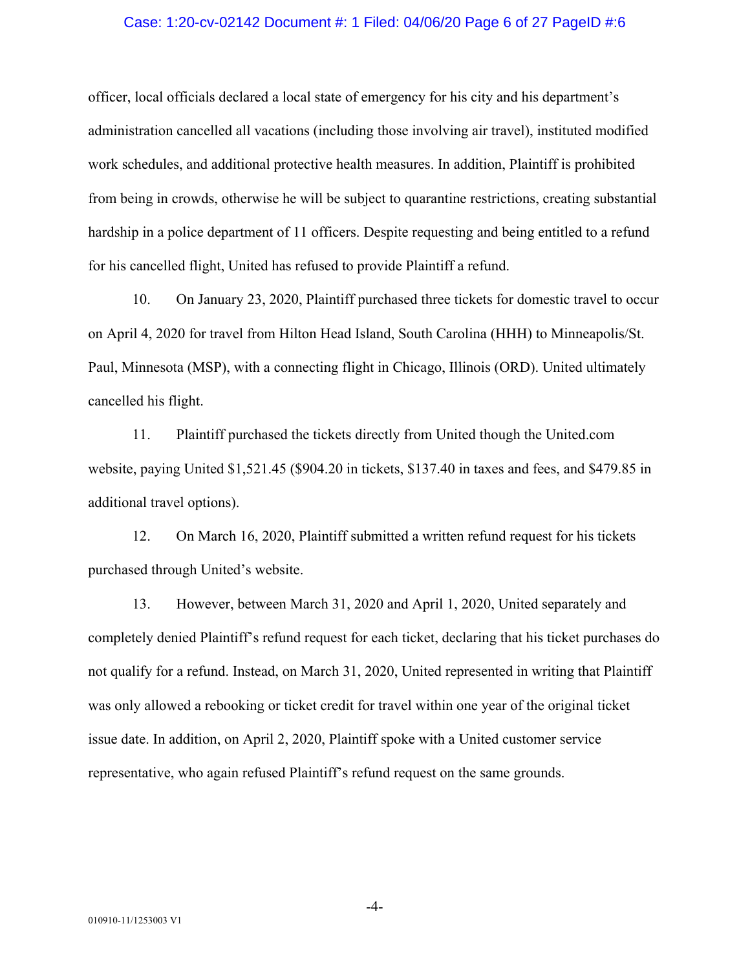#### Case: 1:20-cv-02142 Document #: 1 Filed: 04/06/20 Page 6 of 27 PageID #:6

officer, local officials declared a local state of emergency for his city and his department's administration cancelled all vacations (including those involving air travel), instituted modified work schedules, and additional protective health measures. In addition, Plaintiff is prohibited from being in crowds, otherwise he will be subject to quarantine restrictions, creating substantial hardship in a police department of 11 officers. Despite requesting and being entitled to a refund for his cancelled flight, United has refused to provide Plaintiff a refund.

10. On January 23, 2020, Plaintiff purchased three tickets for domestic travel to occur on April 4, 2020 for travel from Hilton Head Island, South Carolina (HHH) to Minneapolis/St. Paul, Minnesota (MSP), with a connecting flight in Chicago, Illinois (ORD). United ultimately cancelled his flight.

11. Plaintiff purchased the tickets directly from United though the United.com website, paying United \$1,521.45 (\$904.20 in tickets, \$137.40 in taxes and fees, and \$479.85 in additional travel options).

12. On March 16, 2020, Plaintiff submitted a written refund request for his tickets purchased through United's website.

13. However, between March 31, 2020 and April 1, 2020, United separately and completely denied Plaintiff's refund request for each ticket, declaring that his ticket purchases do not qualify for a refund. Instead, on March 31, 2020, United represented in writing that Plaintiff was only allowed a rebooking or ticket credit for travel within one year of the original ticket issue date. In addition, on April 2, 2020, Plaintiff spoke with a United customer service representative, who again refused Plaintiff's refund request on the same grounds.

-4-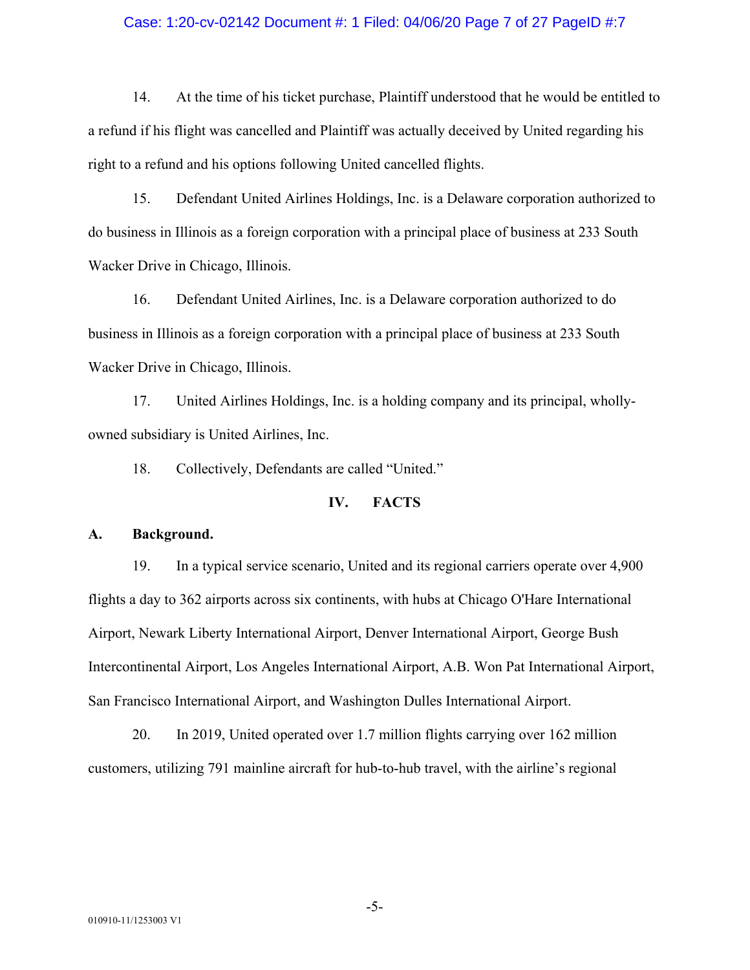#### Case: 1:20-cv-02142 Document #: 1 Filed: 04/06/20 Page 7 of 27 PageID #:7

14. At the time of his ticket purchase, Plaintiff understood that he would be entitled to a refund if his flight was cancelled and Plaintiff was actually deceived by United regarding his right to a refund and his options following United cancelled flights.

15. Defendant United Airlines Holdings, Inc. is a Delaware corporation authorized to do business in Illinois as a foreign corporation with a principal place of business at 233 South Wacker Drive in Chicago, Illinois.

16. Defendant United Airlines, Inc. is a Delaware corporation authorized to do business in Illinois as a foreign corporation with a principal place of business at 233 South Wacker Drive in Chicago, Illinois.

17. United Airlines Holdings, Inc. is a holding company and its principal, whollyowned subsidiary is United Airlines, Inc.

18. Collectively, Defendants are called "United."

## **IV. FACTS**

#### **A. Background.**

19. In a typical service scenario, United and its regional carriers operate over 4,900 flights a day to 362 airports across six continents, with hubs at Chicago O'Hare International Airport, Newark Liberty International Airport, Denver International Airport, George Bush Intercontinental Airport, Los Angeles International Airport, A.B. Won Pat International Airport, San Francisco International Airport, and Washington Dulles International Airport.

20. In 2019, United operated over 1.7 million flights carrying over 162 million customers, utilizing 791 mainline aircraft for hub-to-hub travel, with the airline's regional

-5-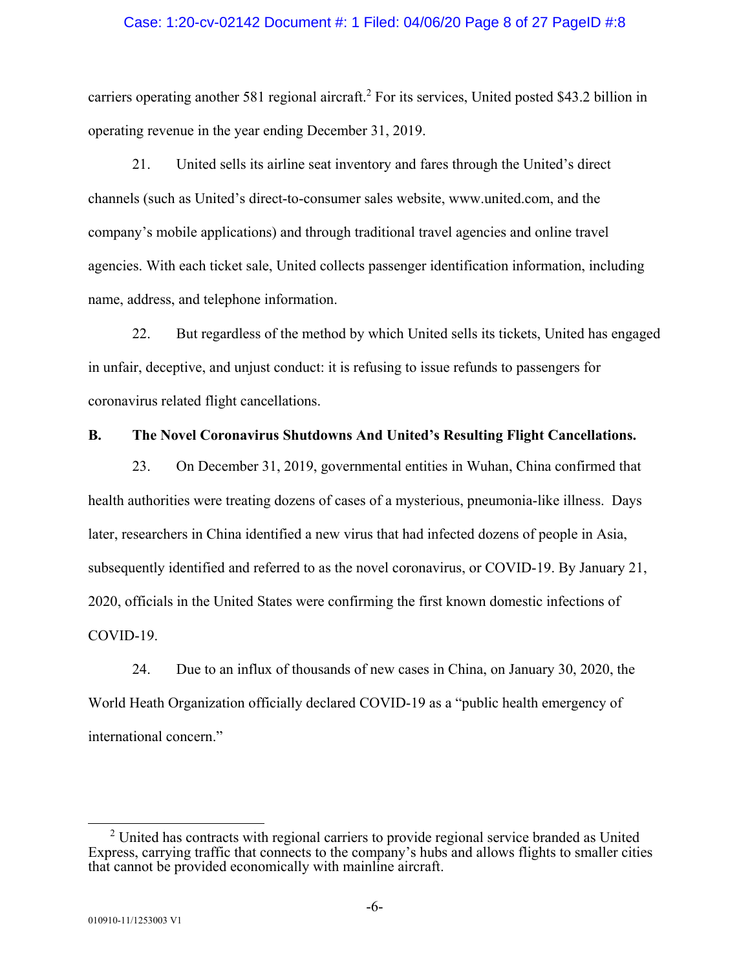#### Case: 1:20-cv-02142 Document #: 1 Filed: 04/06/20 Page 8 of 27 PageID #:8

carriers operating another 581 regional aircraft.<sup>2</sup> For its services, United posted \$43.2 billion in operating revenue in the year ending December 31, 2019.

21. United sells its airline seat inventory and fares through the United's direct channels (such as United's direct-to-consumer sales website, www.united.com, and the company's mobile applications) and through traditional travel agencies and online travel agencies. With each ticket sale, United collects passenger identification information, including name, address, and telephone information.

22. But regardless of the method by which United sells its tickets, United has engaged in unfair, deceptive, and unjust conduct: it is refusing to issue refunds to passengers for coronavirus related flight cancellations.

## **B. The Novel Coronavirus Shutdowns And United's Resulting Flight Cancellations.**

23. On December 31, 2019, governmental entities in Wuhan, China confirmed that health authorities were treating dozens of cases of a mysterious, pneumonia-like illness. Days later, researchers in China identified a new virus that had infected dozens of people in Asia, subsequently identified and referred to as the novel coronavirus, or COVID-19. By January 21, 2020, officials in the United States were confirming the first known domestic infections of COVID-19.

24. Due to an influx of thousands of new cases in China, on January 30, 2020, the World Heath Organization officially declared COVID-19 as a "public health emergency of international concern."

 <sup>2</sup>  $2$  United has contracts with regional carriers to provide regional service branded as United Express, carrying traffic that connects to the company's hubs and allows flights to smaller cities that cannot be provided economically with mainline aircraft.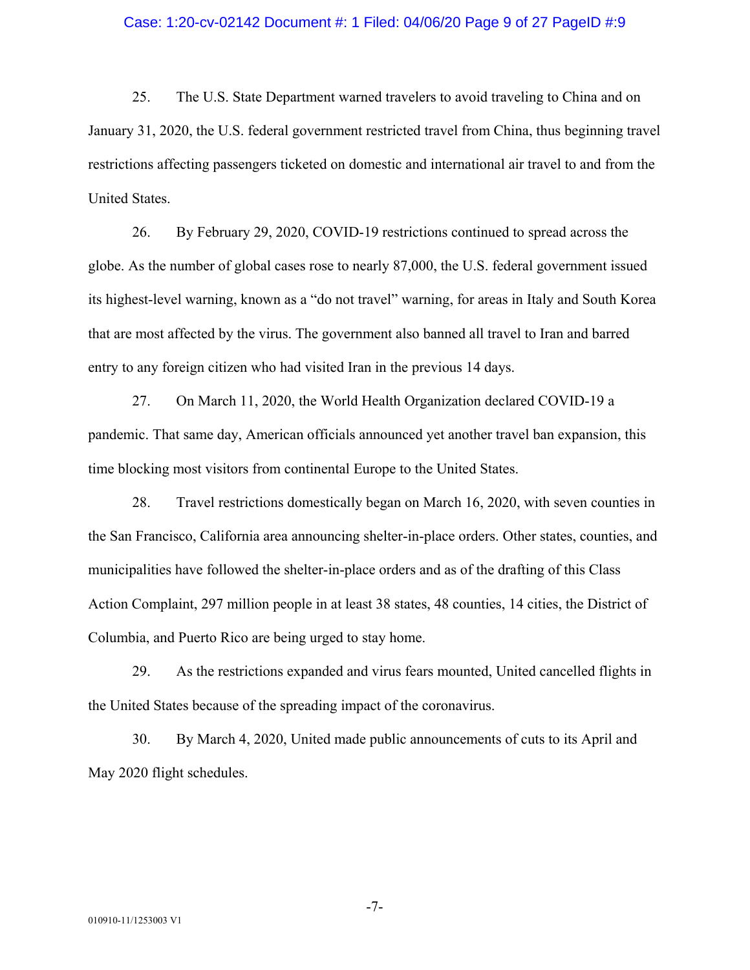#### Case: 1:20-cv-02142 Document #: 1 Filed: 04/06/20 Page 9 of 27 PageID #:9

25. The U.S. State Department warned travelers to avoid traveling to China and on January 31, 2020, the U.S. federal government restricted travel from China, thus beginning travel restrictions affecting passengers ticketed on domestic and international air travel to and from the United States.

26. By February 29, 2020, COVID-19 restrictions continued to spread across the globe. As the number of global cases rose to nearly 87,000, the U.S. federal government issued its highest-level warning, known as a "do not travel" warning, for areas in Italy and South Korea that are most affected by the virus. The government also banned all travel to Iran and barred entry to any foreign citizen who had visited Iran in the previous 14 days.

27. On March 11, 2020, the World Health Organization declared COVID-19 a pandemic. That same day, American officials announced yet another travel ban expansion, this time blocking most visitors from continental Europe to the United States.

28. Travel restrictions domestically began on March 16, 2020, with seven counties in the San Francisco, California area announcing shelter-in-place orders. Other states, counties, and municipalities have followed the shelter-in-place orders and as of the drafting of this Class Action Complaint, 297 million people in at least 38 states, 48 counties, 14 cities, the District of Columbia, and Puerto Rico are being urged to stay home.

29. As the restrictions expanded and virus fears mounted, United cancelled flights in the United States because of the spreading impact of the coronavirus.

30. By March 4, 2020, United made public announcements of cuts to its April and May 2020 flight schedules.

-7-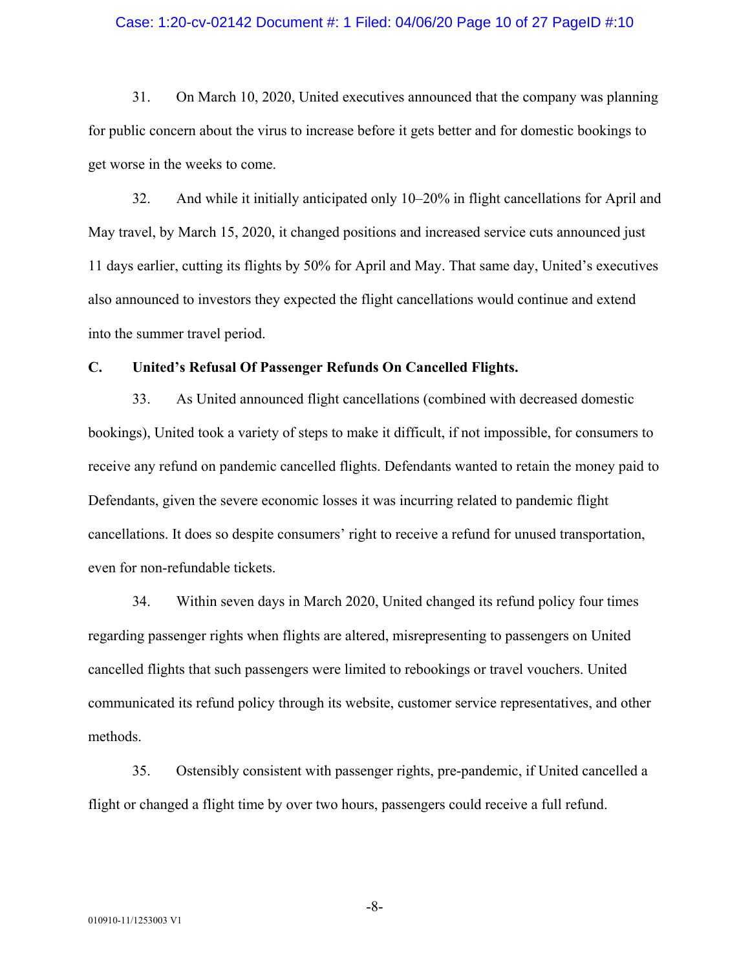#### Case: 1:20-cv-02142 Document #: 1 Filed: 04/06/20 Page 10 of 27 PageID #:10

31. On March 10, 2020, United executives announced that the company was planning for public concern about the virus to increase before it gets better and for domestic bookings to get worse in the weeks to come.

32. And while it initially anticipated only 10–20% in flight cancellations for April and May travel, by March 15, 2020, it changed positions and increased service cuts announced just 11 days earlier, cutting its flights by 50% for April and May. That same day, United's executives also announced to investors they expected the flight cancellations would continue and extend into the summer travel period.

#### **C. United's Refusal Of Passenger Refunds On Cancelled Flights.**

33. As United announced flight cancellations (combined with decreased domestic bookings), United took a variety of steps to make it difficult, if not impossible, for consumers to receive any refund on pandemic cancelled flights. Defendants wanted to retain the money paid to Defendants, given the severe economic losses it was incurring related to pandemic flight cancellations. It does so despite consumers' right to receive a refund for unused transportation, even for non-refundable tickets.

34. Within seven days in March 2020, United changed its refund policy four times regarding passenger rights when flights are altered, misrepresenting to passengers on United cancelled flights that such passengers were limited to rebookings or travel vouchers. United communicated its refund policy through its website, customer service representatives, and other methods.

35. Ostensibly consistent with passenger rights, pre-pandemic, if United cancelled a flight or changed a flight time by over two hours, passengers could receive a full refund.

-8-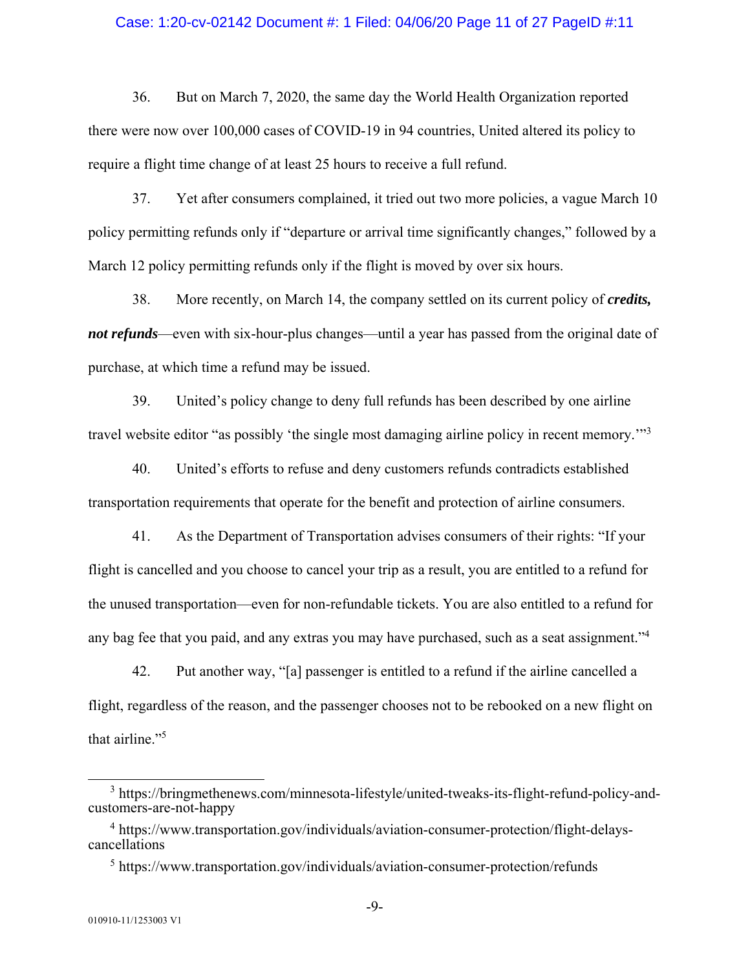#### Case: 1:20-cv-02142 Document #: 1 Filed: 04/06/20 Page 11 of 27 PageID #:11

36. But on March 7, 2020, the same day the World Health Organization reported there were now over 100,000 cases of COVID-19 in 94 countries, United altered its policy to require a flight time change of at least 25 hours to receive a full refund.

37. Yet after consumers complained, it tried out two more policies, a vague March 10 policy permitting refunds only if "departure or arrival time significantly changes," followed by a March 12 policy permitting refunds only if the flight is moved by over six hours.

38. More recently, on March 14, the company settled on its current policy of *credits, not refunds*—even with six-hour-plus changes—until a year has passed from the original date of purchase, at which time a refund may be issued.

39. United's policy change to deny full refunds has been described by one airline travel website editor "as possibly 'the single most damaging airline policy in recent memory."<sup>3</sup>

40. United's efforts to refuse and deny customers refunds contradicts established transportation requirements that operate for the benefit and protection of airline consumers.

41. As the Department of Transportation advises consumers of their rights: "If your flight is cancelled and you choose to cancel your trip as a result, you are entitled to a refund for the unused transportation—even for non-refundable tickets. You are also entitled to a refund for any bag fee that you paid, and any extras you may have purchased, such as a seat assignment."<sup>4</sup>

42. Put another way, "[a] passenger is entitled to a refund if the airline cancelled a flight, regardless of the reason, and the passenger chooses not to be rebooked on a new flight on that airline."<sup>5</sup>

<sup>&</sup>lt;sup>3</sup> https://bringmethenews.com/minnesota-lifestyle/united-tweaks-its-flight-refund-policy-andcustomers-are-not-happy

<sup>&</sup>lt;sup>4</sup> https://www.transportation.gov/individuals/aviation-consumer-protection/flight-delayscancellations

<sup>&</sup>lt;sup>5</sup> https://www.transportation.gov/individuals/aviation-consumer-protection/refunds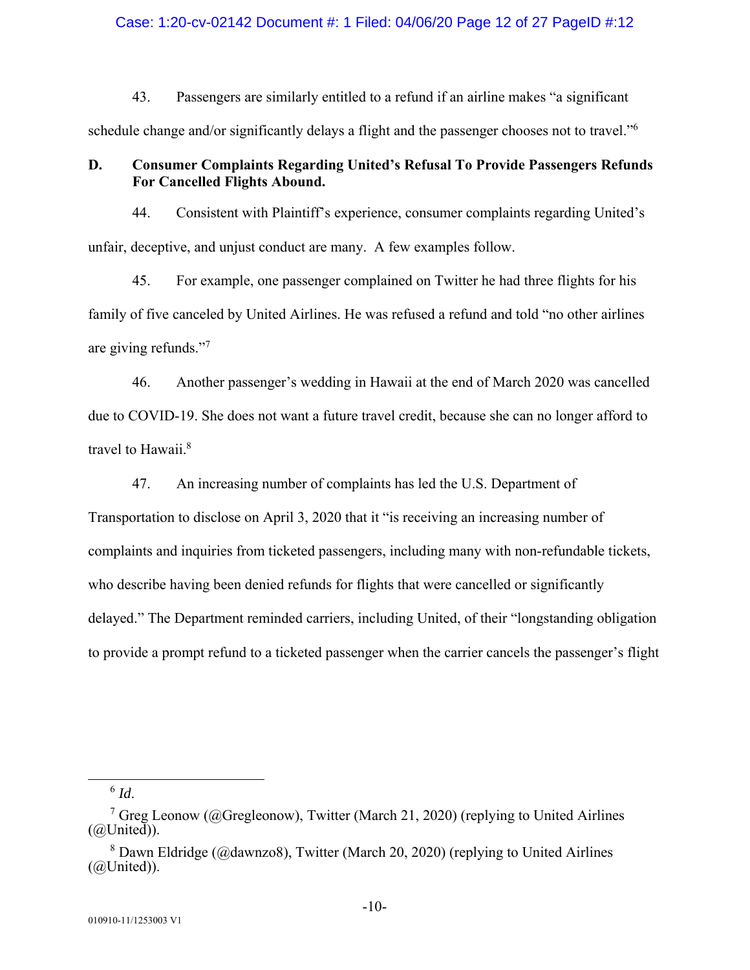#### Case: 1:20-cv-02142 Document #: 1 Filed: 04/06/20 Page 12 of 27 PageID #:12

43. Passengers are similarly entitled to a refund if an airline makes "a significant schedule change and/or significantly delays a flight and the passenger chooses not to travel."<sup>6</sup>

# **D. Consumer Complaints Regarding United's Refusal To Provide Passengers Refunds For Cancelled Flights Abound.**

44. Consistent with Plaintiff's experience, consumer complaints regarding United's unfair, deceptive, and unjust conduct are many. A few examples follow.

45. For example, one passenger complained on Twitter he had three flights for his family of five canceled by United Airlines. He was refused a refund and told "no other airlines are giving refunds."<sup>7</sup>

46. Another passenger's wedding in Hawaii at the end of March 2020 was cancelled due to COVID-19. She does not want a future travel credit, because she can no longer afford to travel to Hawaii.<sup>8</sup>

47. An increasing number of complaints has led the U.S. Department of

Transportation to disclose on April 3, 2020 that it "is receiving an increasing number of complaints and inquiries from ticketed passengers, including many with non-refundable tickets, who describe having been denied refunds for flights that were cancelled or significantly delayed." The Department reminded carriers, including United, of their "longstanding obligation to provide a prompt refund to a ticketed passenger when the carrier cancels the passenger's flight

6 *Id*.

<sup>&</sup>lt;sup>7</sup> Greg Leonow (@Gregleonow), Twitter (March 21, 2020) (replying to United Airlines  $(Q(\text{United}))$ .

<sup>&</sup>lt;sup>8</sup> Dawn Eldridge (@dawnzo8), Twitter (March 20, 2020) (replying to United Airlines  $(QUnited)$ ).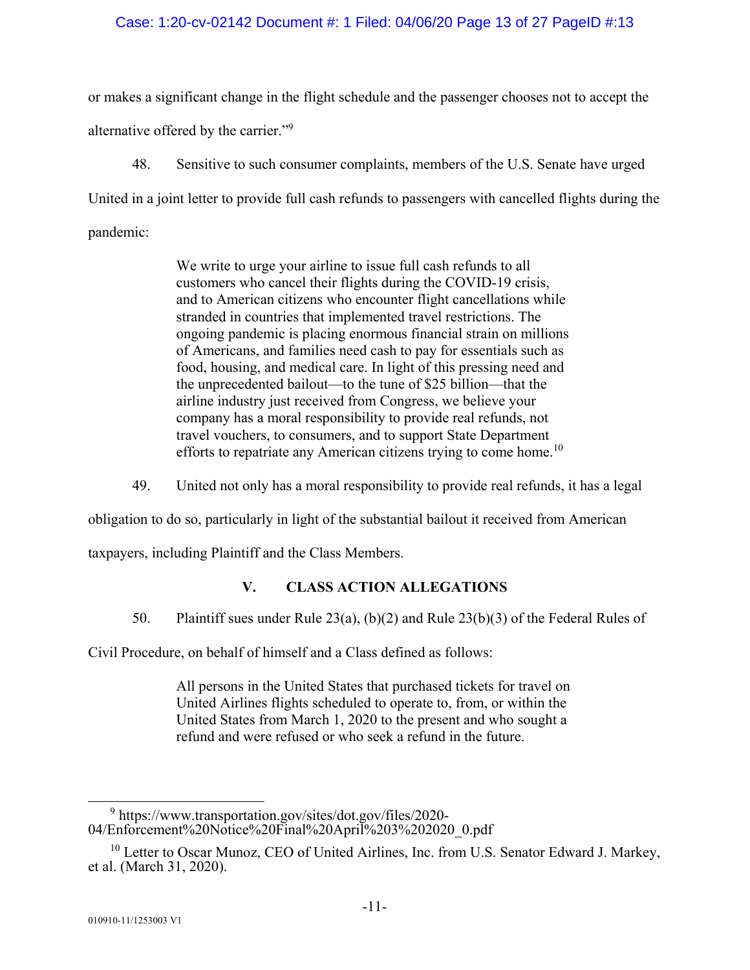## Case: 1:20-cv-02142 Document #: 1 Filed: 04/06/20 Page 13 of 27 PageID #:13

or makes a significant change in the flight schedule and the passenger chooses not to accept the alternative offered by the carrier."9

48. Sensitive to such consumer complaints, members of the U.S. Senate have urged United in a joint letter to provide full cash refunds to passengers with cancelled flights during the pandemic:

> We write to urge your airline to issue full cash refunds to all customers who cancel their flights during the COVID-19 crisis, and to American citizens who encounter flight cancellations while stranded in countries that implemented travel restrictions. The ongoing pandemic is placing enormous financial strain on millions of Americans, and families need cash to pay for essentials such as food, housing, and medical care. In light of this pressing need and the unprecedented bailout—to the tune of \$25 billion—that the airline industry just received from Congress, we believe your company has a moral responsibility to provide real refunds, not travel vouchers, to consumers, and to support State Department efforts to repatriate any American citizens trying to come home.<sup>10</sup>

49. United not only has a moral responsibility to provide real refunds, it has a legal

obligation to do so, particularly in light of the substantial bailout it received from American

taxpayers, including Plaintiff and the Class Members.

# **V. CLASS ACTION ALLEGATIONS**

50. Plaintiff sues under Rule 23(a), (b)(2) and Rule 23(b)(3) of the Federal Rules of

Civil Procedure, on behalf of himself and a Class defined as follows:

All persons in the United States that purchased tickets for travel on United Airlines flights scheduled to operate to, from, or within the United States from March 1, 2020 to the present and who sought a refund and were refused or who seek a refund in the future.

 $\frac{1}{9}$  $9$  https://www.transportation.gov/sites/dot.gov/files/2020-04/Enforcement%20Notice%20Final%20April%203%202020\_0.pdf

<sup>&</sup>lt;sup>10</sup> Letter to Oscar Munoz, CEO of United Airlines, Inc. from U.S. Senator Edward J. Markey, et al. (March 31, 2020).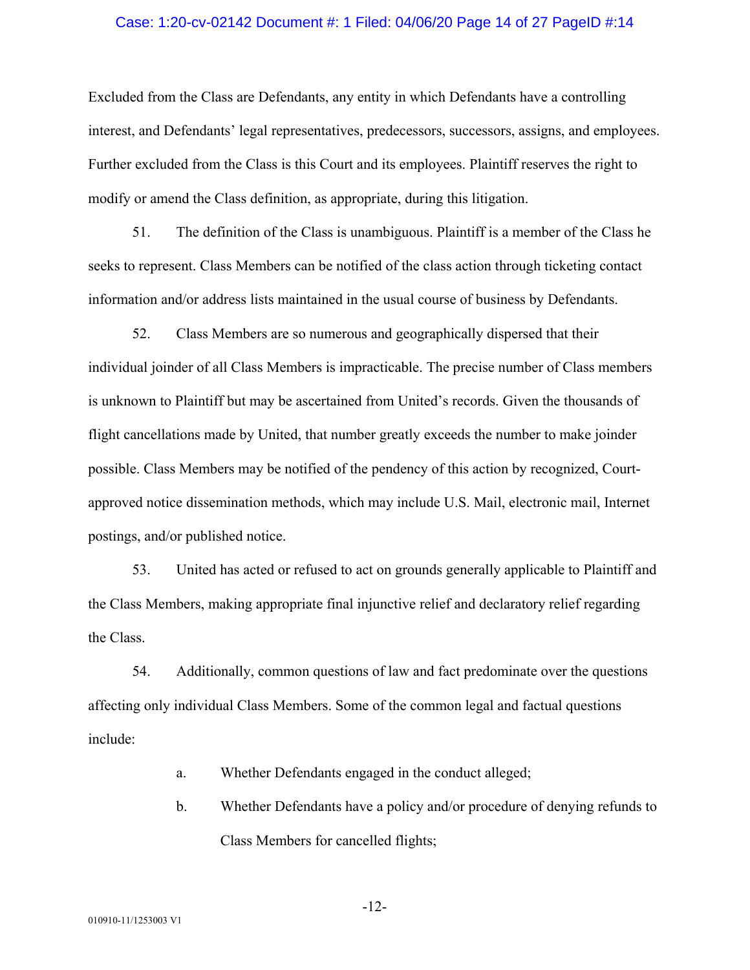#### Case: 1:20-cv-02142 Document #: 1 Filed: 04/06/20 Page 14 of 27 PageID #:14

Excluded from the Class are Defendants, any entity in which Defendants have a controlling interest, and Defendants' legal representatives, predecessors, successors, assigns, and employees. Further excluded from the Class is this Court and its employees. Plaintiff reserves the right to modify or amend the Class definition, as appropriate, during this litigation.

51. The definition of the Class is unambiguous. Plaintiff is a member of the Class he seeks to represent. Class Members can be notified of the class action through ticketing contact information and/or address lists maintained in the usual course of business by Defendants.

52. Class Members are so numerous and geographically dispersed that their individual joinder of all Class Members is impracticable. The precise number of Class members is unknown to Plaintiff but may be ascertained from United's records. Given the thousands of flight cancellations made by United, that number greatly exceeds the number to make joinder possible. Class Members may be notified of the pendency of this action by recognized, Courtapproved notice dissemination methods, which may include U.S. Mail, electronic mail, Internet postings, and/or published notice.

53. United has acted or refused to act on grounds generally applicable to Plaintiff and the Class Members, making appropriate final injunctive relief and declaratory relief regarding the Class.

54. Additionally, common questions of law and fact predominate over the questions affecting only individual Class Members. Some of the common legal and factual questions include:

- a. Whether Defendants engaged in the conduct alleged;
- b. Whether Defendants have a policy and/or procedure of denying refunds to Class Members for cancelled flights;

-12-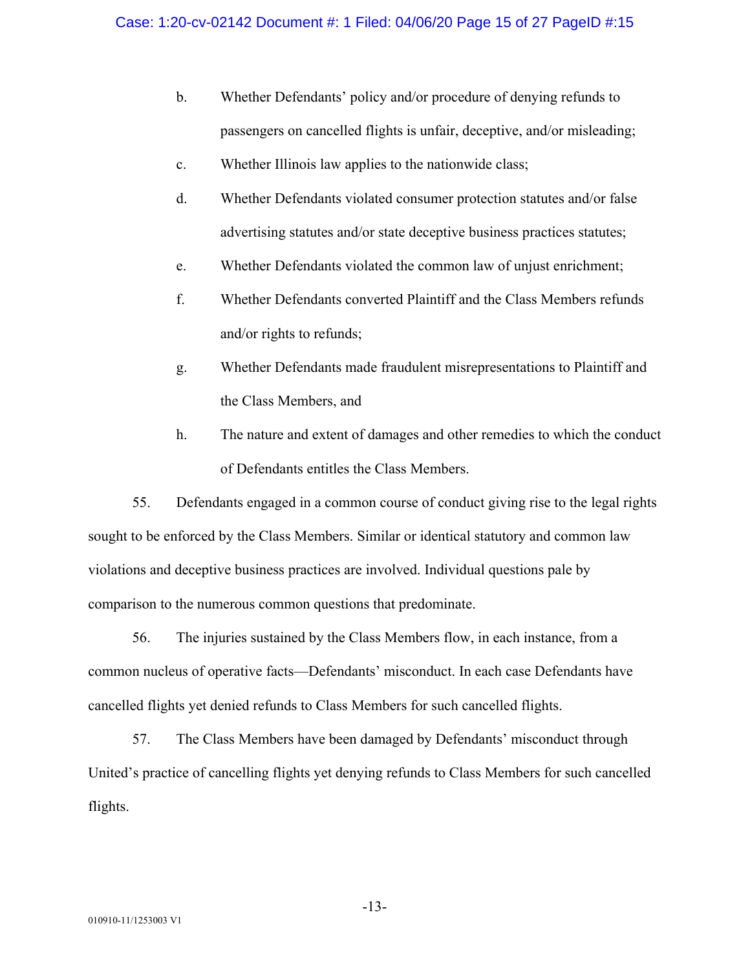- b. Whether Defendants' policy and/or procedure of denying refunds to passengers on cancelled flights is unfair, deceptive, and/or misleading;
- c. Whether Illinois law applies to the nationwide class;
- d. Whether Defendants violated consumer protection statutes and/or false advertising statutes and/or state deceptive business practices statutes;
- e. Whether Defendants violated the common law of unjust enrichment;
- f. Whether Defendants converted Plaintiff and the Class Members refunds and/or rights to refunds;
- g. Whether Defendants made fraudulent misrepresentations to Plaintiff and the Class Members, and
- h. The nature and extent of damages and other remedies to which the conduct of Defendants entitles the Class Members.

55. Defendants engaged in a common course of conduct giving rise to the legal rights sought to be enforced by the Class Members. Similar or identical statutory and common law violations and deceptive business practices are involved. Individual questions pale by comparison to the numerous common questions that predominate.

56. The injuries sustained by the Class Members flow, in each instance, from a common nucleus of operative facts—Defendants' misconduct. In each case Defendants have cancelled flights yet denied refunds to Class Members for such cancelled flights.

57. The Class Members have been damaged by Defendants' misconduct through United's practice of cancelling flights yet denying refunds to Class Members for such cancelled flights.

-13-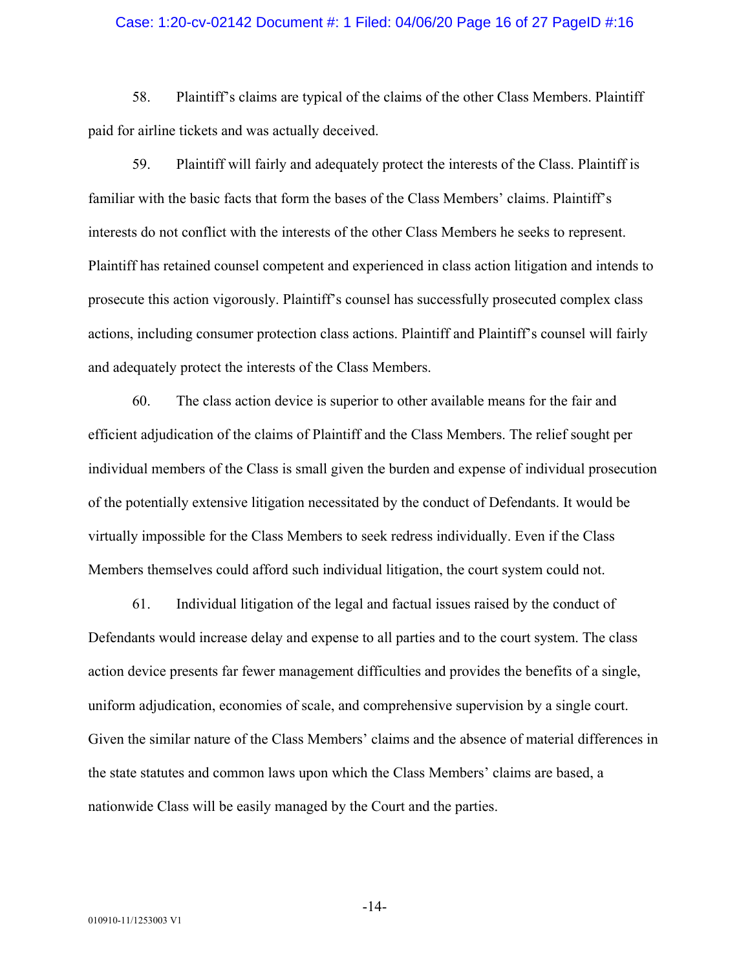#### Case: 1:20-cv-02142 Document #: 1 Filed: 04/06/20 Page 16 of 27 PageID #:16

58. Plaintiff's claims are typical of the claims of the other Class Members. Plaintiff paid for airline tickets and was actually deceived.

59. Plaintiff will fairly and adequately protect the interests of the Class. Plaintiff is familiar with the basic facts that form the bases of the Class Members' claims. Plaintiff's interests do not conflict with the interests of the other Class Members he seeks to represent. Plaintiff has retained counsel competent and experienced in class action litigation and intends to prosecute this action vigorously. Plaintiff's counsel has successfully prosecuted complex class actions, including consumer protection class actions. Plaintiff and Plaintiff's counsel will fairly and adequately protect the interests of the Class Members.

60. The class action device is superior to other available means for the fair and efficient adjudication of the claims of Plaintiff and the Class Members. The relief sought per individual members of the Class is small given the burden and expense of individual prosecution of the potentially extensive litigation necessitated by the conduct of Defendants. It would be virtually impossible for the Class Members to seek redress individually. Even if the Class Members themselves could afford such individual litigation, the court system could not.

61. Individual litigation of the legal and factual issues raised by the conduct of Defendants would increase delay and expense to all parties and to the court system. The class action device presents far fewer management difficulties and provides the benefits of a single, uniform adjudication, economies of scale, and comprehensive supervision by a single court. Given the similar nature of the Class Members' claims and the absence of material differences in the state statutes and common laws upon which the Class Members' claims are based, a nationwide Class will be easily managed by the Court and the parties.

-14-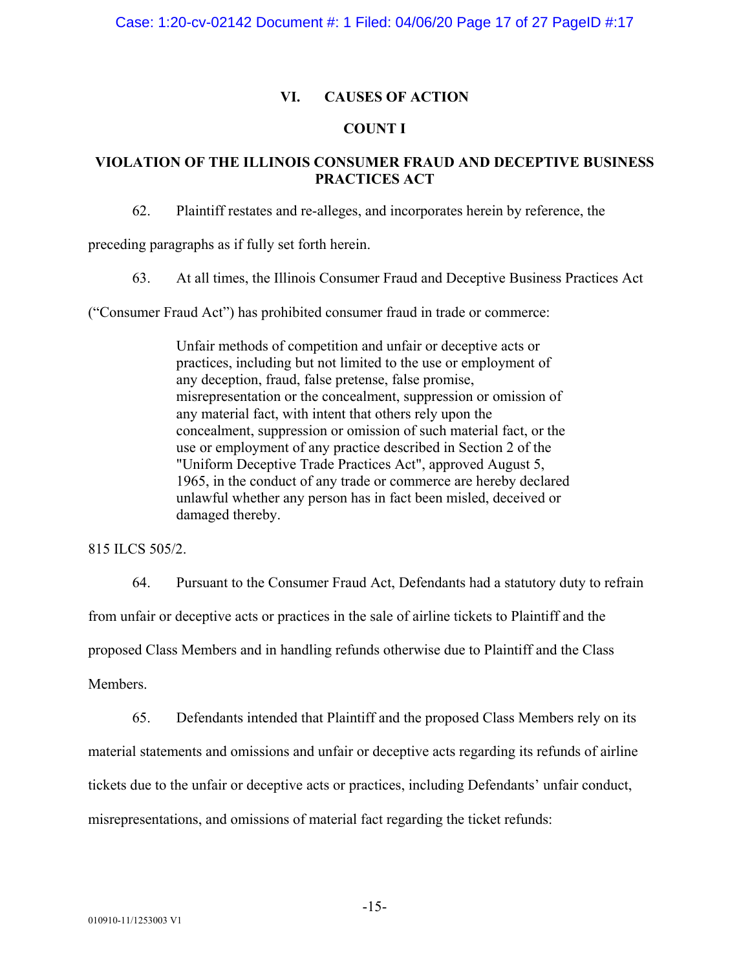# **VI. CAUSES OF ACTION**

## **COUNT I**

# **VIOLATION OF THE ILLINOIS CONSUMER FRAUD AND DECEPTIVE BUSINESS PRACTICES ACT**

62. Plaintiff restates and re-alleges, and incorporates herein by reference, the

preceding paragraphs as if fully set forth herein.

63. At all times, the Illinois Consumer Fraud and Deceptive Business Practices Act

("Consumer Fraud Act") has prohibited consumer fraud in trade or commerce:

Unfair methods of competition and unfair or deceptive acts or practices, including but not limited to the use or employment of any deception, fraud, false pretense, false promise, misrepresentation or the concealment, suppression or omission of any material fact, with intent that others rely upon the concealment, suppression or omission of such material fact, or the use or employment of any practice described in Section 2 of the "Uniform Deceptive Trade Practices Act", approved August 5, 1965, in the conduct of any trade or commerce are hereby declared unlawful whether any person has in fact been misled, deceived or damaged thereby.

815 ILCS 505/2.

64. Pursuant to the Consumer Fraud Act, Defendants had a statutory duty to refrain from unfair or deceptive acts or practices in the sale of airline tickets to Plaintiff and the proposed Class Members and in handling refunds otherwise due to Plaintiff and the Class Members.

65. Defendants intended that Plaintiff and the proposed Class Members rely on its material statements and omissions and unfair or deceptive acts regarding its refunds of airline tickets due to the unfair or deceptive acts or practices, including Defendants' unfair conduct, misrepresentations, and omissions of material fact regarding the ticket refunds:

-15-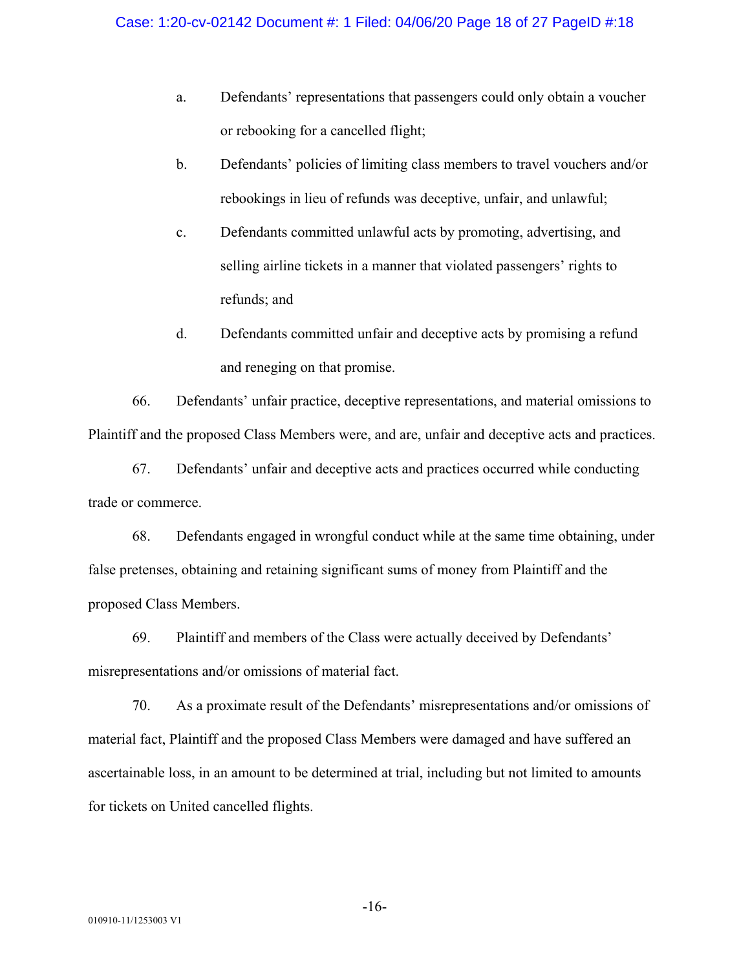- a. Defendants' representations that passengers could only obtain a voucher or rebooking for a cancelled flight;
- b. Defendants' policies of limiting class members to travel vouchers and/or rebookings in lieu of refunds was deceptive, unfair, and unlawful;
- c. Defendants committed unlawful acts by promoting, advertising, and selling airline tickets in a manner that violated passengers' rights to refunds; and
- d. Defendants committed unfair and deceptive acts by promising a refund and reneging on that promise.

66. Defendants' unfair practice, deceptive representations, and material omissions to Plaintiff and the proposed Class Members were, and are, unfair and deceptive acts and practices.

67. Defendants' unfair and deceptive acts and practices occurred while conducting trade or commerce.

68. Defendants engaged in wrongful conduct while at the same time obtaining, under false pretenses, obtaining and retaining significant sums of money from Plaintiff and the proposed Class Members.

69. Plaintiff and members of the Class were actually deceived by Defendants' misrepresentations and/or omissions of material fact.

70. As a proximate result of the Defendants' misrepresentations and/or omissions of material fact, Plaintiff and the proposed Class Members were damaged and have suffered an ascertainable loss, in an amount to be determined at trial, including but not limited to amounts for tickets on United cancelled flights.

-16-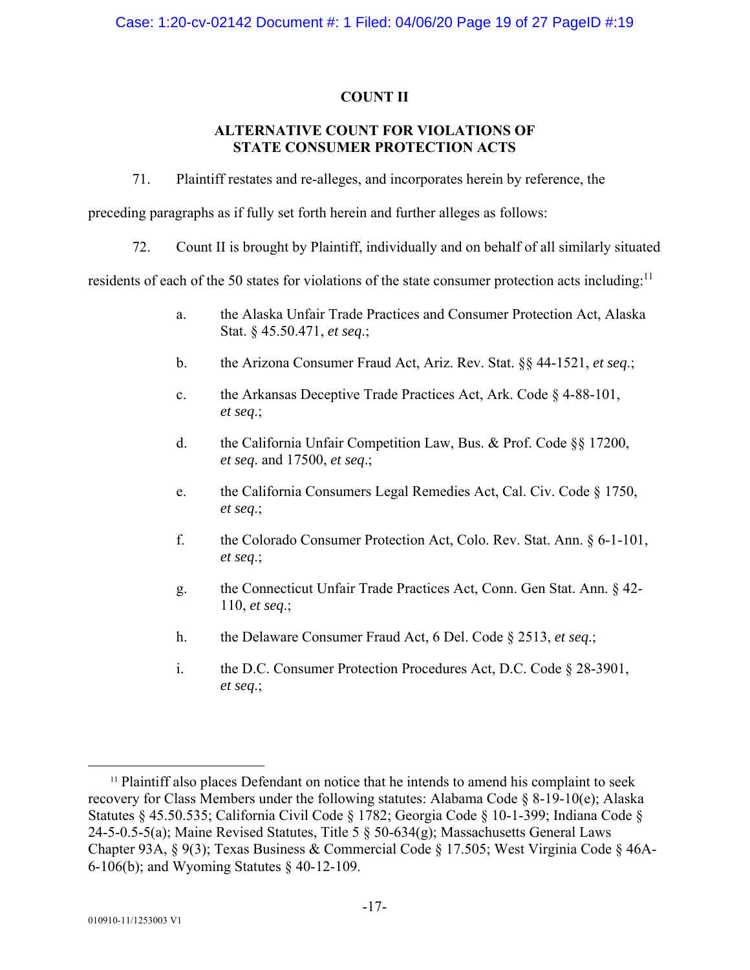# **COUNT II**

# **ALTERNATIVE COUNT FOR VIOLATIONS OF STATE CONSUMER PROTECTION ACTS**

71. Plaintiff restates and re-alleges, and incorporates herein by reference, the

preceding paragraphs as if fully set forth herein and further alleges as follows:

72. Count II is brought by Plaintiff, individually and on behalf of all similarly situated

residents of each of the 50 states for violations of the state consumer protection acts including:<sup>11</sup>

- a. the Alaska Unfair Trade Practices and Consumer Protection Act, Alaska Stat. § 45.50.471, *et seq*.;
- b. the Arizona Consumer Fraud Act, Ariz. Rev. Stat. §§ 44-1521, *et seq*.;
- c. the Arkansas Deceptive Trade Practices Act, Ark. Code § 4-88-101, *et seq*.;
- d. the California Unfair Competition Law, Bus. & Prof. Code §§ 17200, *et seq*. and 17500, *et seq*.;
- e. the California Consumers Legal Remedies Act, Cal. Civ. Code § 1750, *et seq*.;
- f. the Colorado Consumer Protection Act, Colo. Rev. Stat. Ann. § 6-1-101, *et seq*.;
- g. the Connecticut Unfair Trade Practices Act, Conn. Gen Stat. Ann. § 42- 110, *et seq*.;
- h. the Delaware Consumer Fraud Act, 6 Del. Code § 2513, *et seq*.;
- i. the D.C. Consumer Protection Procedures Act, D.C. Code § 28-3901, *et seq*.;

<sup>&</sup>lt;sup>11</sup> Plaintiff also places Defendant on notice that he intends to amend his complaint to seek recovery for Class Members under the following statutes: Alabama Code § 8-19-10(e); Alaska Statutes § 45.50.535; California Civil Code § 1782; Georgia Code § 10-1-399; Indiana Code § 24-5-0.5-5(a); Maine Revised Statutes, Title 5 § 50-634(g); Massachusetts General Laws Chapter 93A, § 9(3); Texas Business & Commercial Code § 17.505; West Virginia Code § 46A-6-106(b); and Wyoming Statutes § 40-12-109.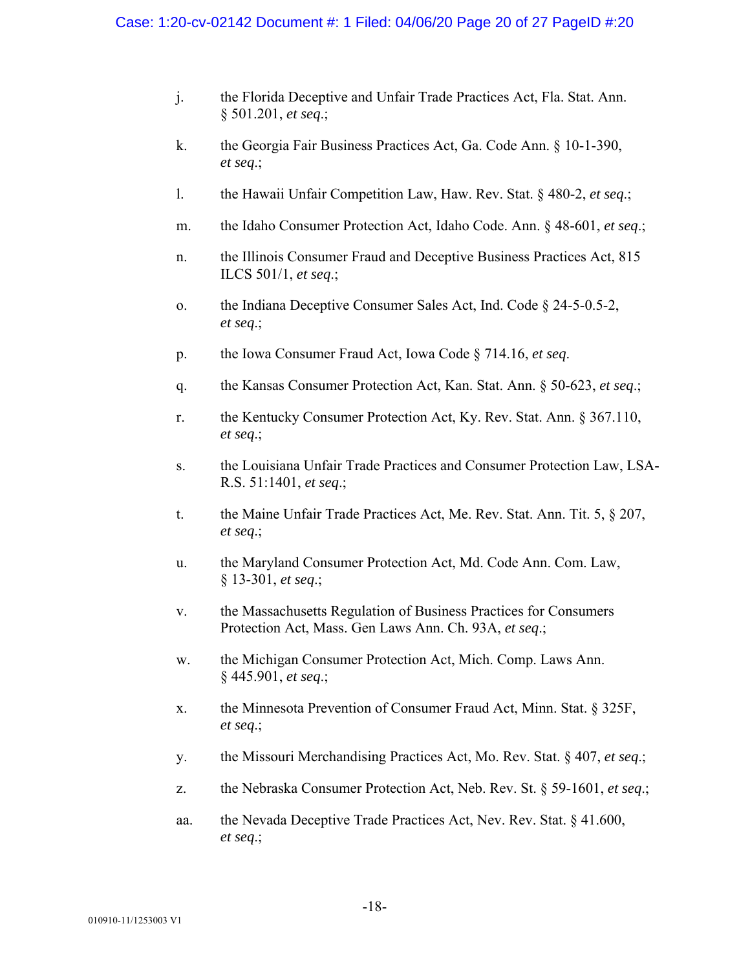- j. the Florida Deceptive and Unfair Trade Practices Act, Fla. Stat. Ann. § 501.201, *et seq*.;
- k. the Georgia Fair Business Practices Act, Ga. Code Ann. § 10-1-390, *et seq*.;
- l. the Hawaii Unfair Competition Law, Haw. Rev. Stat. § 480-2, *et seq*.;
- m. the Idaho Consumer Protection Act, Idaho Code. Ann. § 48-601, *et seq*.;
- n. the Illinois Consumer Fraud and Deceptive Business Practices Act, 815 ILCS 501/1, *et seq*.;
- o. the Indiana Deceptive Consumer Sales Act, Ind. Code § 24-5-0.5-2, *et seq*.;
- p. the Iowa Consumer Fraud Act, Iowa Code § 714.16, *et seq*.
- q. the Kansas Consumer Protection Act, Kan. Stat. Ann. § 50-623, *et seq*.;
- r. the Kentucky Consumer Protection Act, Ky. Rev. Stat. Ann. § 367.110, *et seq*.;
- s. the Louisiana Unfair Trade Practices and Consumer Protection Law, LSA-R.S. 51:1401, *et seq*.;
- t. the Maine Unfair Trade Practices Act, Me. Rev. Stat. Ann. Tit. 5, § 207, *et seq*.;
- u. the Maryland Consumer Protection Act, Md. Code Ann. Com. Law, § 13-301, *et seq*.;
- v. the Massachusetts Regulation of Business Practices for Consumers Protection Act, Mass. Gen Laws Ann. Ch. 93A, *et seq*.;
- w. the Michigan Consumer Protection Act, Mich. Comp. Laws Ann. § 445.901, *et seq*.;
- x. the Minnesota Prevention of Consumer Fraud Act, Minn. Stat. § 325F, *et seq*.;
- y. the Missouri Merchandising Practices Act, Mo. Rev. Stat. § 407, *et seq*.;
- z. the Nebraska Consumer Protection Act, Neb. Rev. St. § 59-1601, *et seq*.;
- aa. the Nevada Deceptive Trade Practices Act, Nev. Rev. Stat. § 41.600, *et seq*.;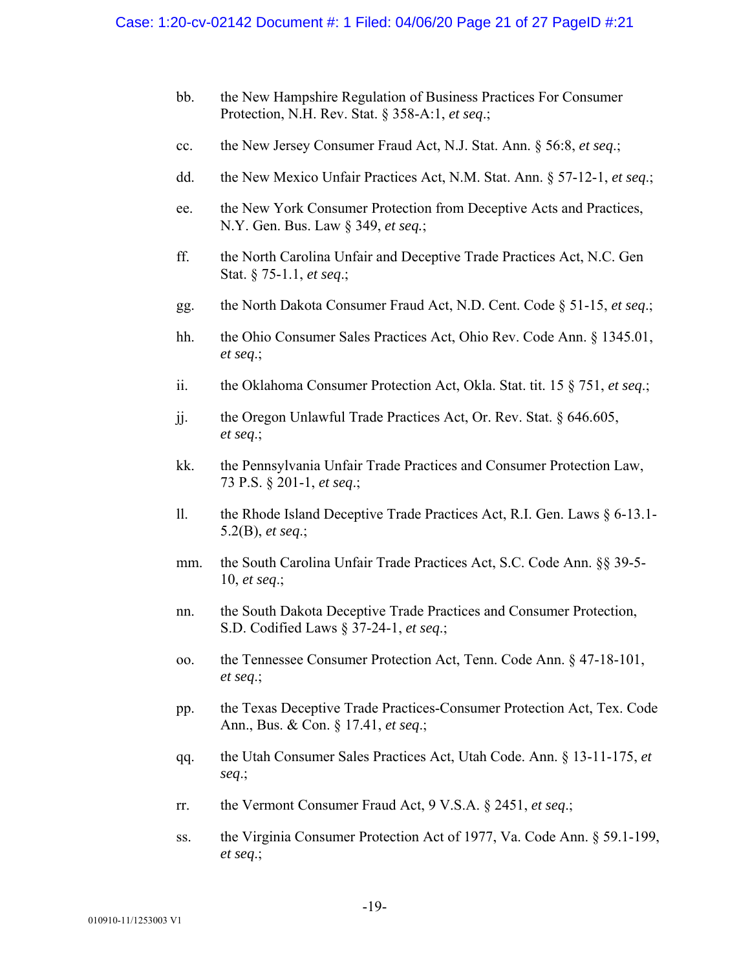- bb. the New Hampshire Regulation of Business Practices For Consumer Protection, N.H. Rev. Stat. § 358-A:1, *et seq*.;
- cc. the New Jersey Consumer Fraud Act, N.J. Stat. Ann. § 56:8, *et seq*.;
- dd. the New Mexico Unfair Practices Act, N.M. Stat. Ann. § 57-12-1, *et seq*.;
- ee. the New York Consumer Protection from Deceptive Acts and Practices, N.Y. Gen. Bus. Law § 349, *et seq.*;
- ff. the North Carolina Unfair and Deceptive Trade Practices Act, N.C. Gen Stat. § 75-1.1, *et seq*.;
- gg. the North Dakota Consumer Fraud Act, N.D. Cent. Code § 51-15, *et seq*.;
- hh. the Ohio Consumer Sales Practices Act, Ohio Rev. Code Ann. § 1345.01, *et seq*.;
- ii. the Oklahoma Consumer Protection Act, Okla. Stat. tit. 15 § 751, *et seq*.;
- jj. the Oregon Unlawful Trade Practices Act, Or. Rev. Stat. § 646.605, *et seq*.;
- kk. the Pennsylvania Unfair Trade Practices and Consumer Protection Law, 73 P.S. § 201-1, *et seq*.;
- ll. the Rhode Island Deceptive Trade Practices Act, R.I. Gen. Laws § 6-13.1- 5.2(B), *et seq*.;
- mm. the South Carolina Unfair Trade Practices Act, S.C. Code Ann. §§ 39-5- 10, *et seq*.;
- nn. the South Dakota Deceptive Trade Practices and Consumer Protection, S.D. Codified Laws § 37-24-1, *et seq*.;
- oo. the Tennessee Consumer Protection Act, Tenn. Code Ann. § 47-18-101, *et seq*.;
- pp. the Texas Deceptive Trade Practices-Consumer Protection Act, Tex. Code Ann., Bus. & Con. § 17.41, *et seq*.;
- qq. the Utah Consumer Sales Practices Act, Utah Code. Ann. § 13-11-175, *et seq*.;
- rr. the Vermont Consumer Fraud Act, 9 V.S.A. § 2451, *et seq*.;
- ss. the Virginia Consumer Protection Act of 1977, Va. Code Ann. § 59.1-199, *et seq*.;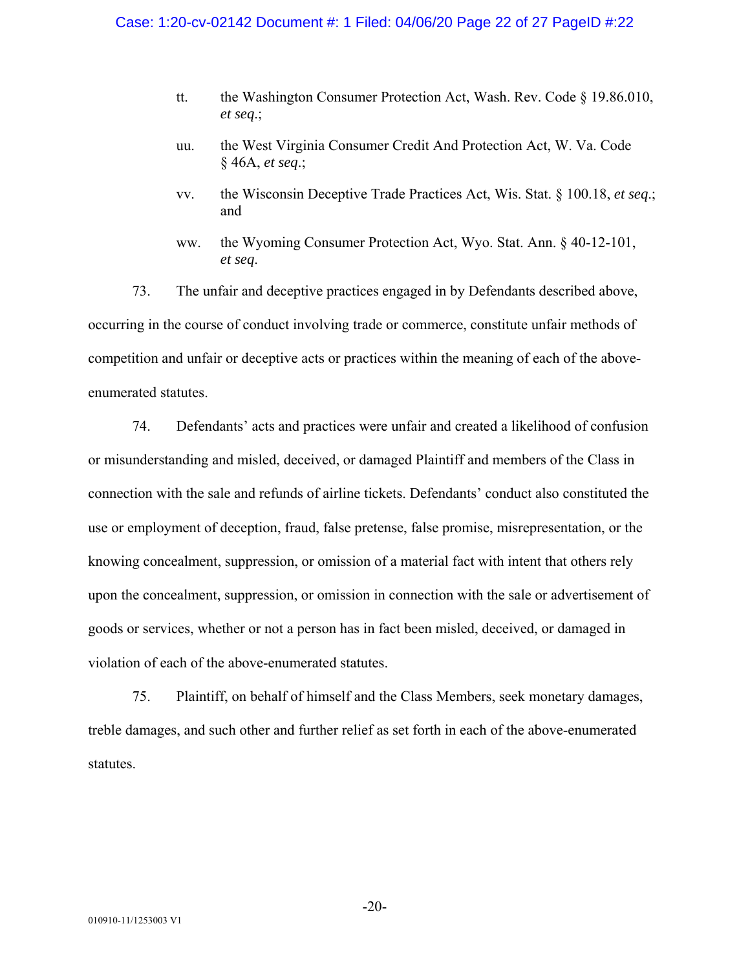- tt. the Washington Consumer Protection Act, Wash. Rev. Code § 19.86.010, *et seq*.;
- uu. the West Virginia Consumer Credit And Protection Act, W. Va. Code § 46A, *et seq*.;
- vv. the Wisconsin Deceptive Trade Practices Act, Wis. Stat. § 100.18, *et seq*.; and
- ww. the Wyoming Consumer Protection Act, Wyo. Stat. Ann. § 40-12-101, *et seq*.

73. The unfair and deceptive practices engaged in by Defendants described above, occurring in the course of conduct involving trade or commerce, constitute unfair methods of competition and unfair or deceptive acts or practices within the meaning of each of the aboveenumerated statutes.

74. Defendants' acts and practices were unfair and created a likelihood of confusion or misunderstanding and misled, deceived, or damaged Plaintiff and members of the Class in connection with the sale and refunds of airline tickets. Defendants' conduct also constituted the use or employment of deception, fraud, false pretense, false promise, misrepresentation, or the knowing concealment, suppression, or omission of a material fact with intent that others rely upon the concealment, suppression, or omission in connection with the sale or advertisement of goods or services, whether or not a person has in fact been misled, deceived, or damaged in violation of each of the above-enumerated statutes.

75. Plaintiff, on behalf of himself and the Class Members, seek monetary damages, treble damages, and such other and further relief as set forth in each of the above-enumerated statutes.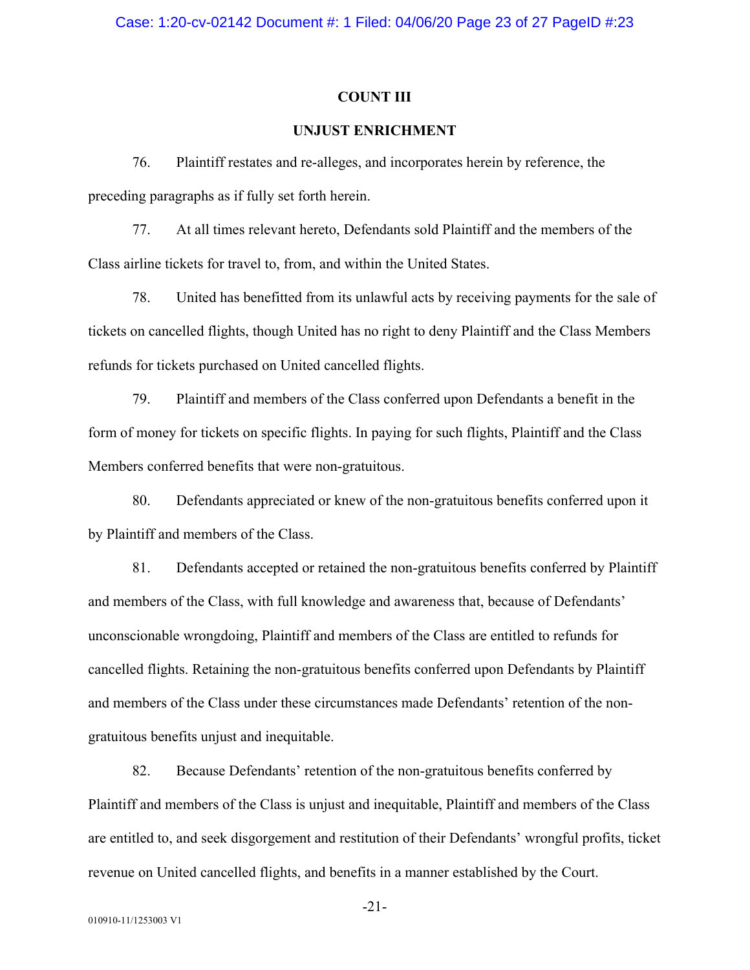#### **COUNT III**

# **UNJUST ENRICHMENT**

76. Plaintiff restates and re-alleges, and incorporates herein by reference, the preceding paragraphs as if fully set forth herein.

77. At all times relevant hereto, Defendants sold Plaintiff and the members of the Class airline tickets for travel to, from, and within the United States.

78. United has benefitted from its unlawful acts by receiving payments for the sale of tickets on cancelled flights, though United has no right to deny Plaintiff and the Class Members refunds for tickets purchased on United cancelled flights.

79. Plaintiff and members of the Class conferred upon Defendants a benefit in the form of money for tickets on specific flights. In paying for such flights, Plaintiff and the Class Members conferred benefits that were non-gratuitous.

80. Defendants appreciated or knew of the non-gratuitous benefits conferred upon it by Plaintiff and members of the Class.

81. Defendants accepted or retained the non-gratuitous benefits conferred by Plaintiff and members of the Class, with full knowledge and awareness that, because of Defendants' unconscionable wrongdoing, Plaintiff and members of the Class are entitled to refunds for cancelled flights. Retaining the non-gratuitous benefits conferred upon Defendants by Plaintiff and members of the Class under these circumstances made Defendants' retention of the nongratuitous benefits unjust and inequitable.

82. Because Defendants' retention of the non-gratuitous benefits conferred by Plaintiff and members of the Class is unjust and inequitable, Plaintiff and members of the Class are entitled to, and seek disgorgement and restitution of their Defendants' wrongful profits, ticket revenue on United cancelled flights, and benefits in a manner established by the Court.

-21-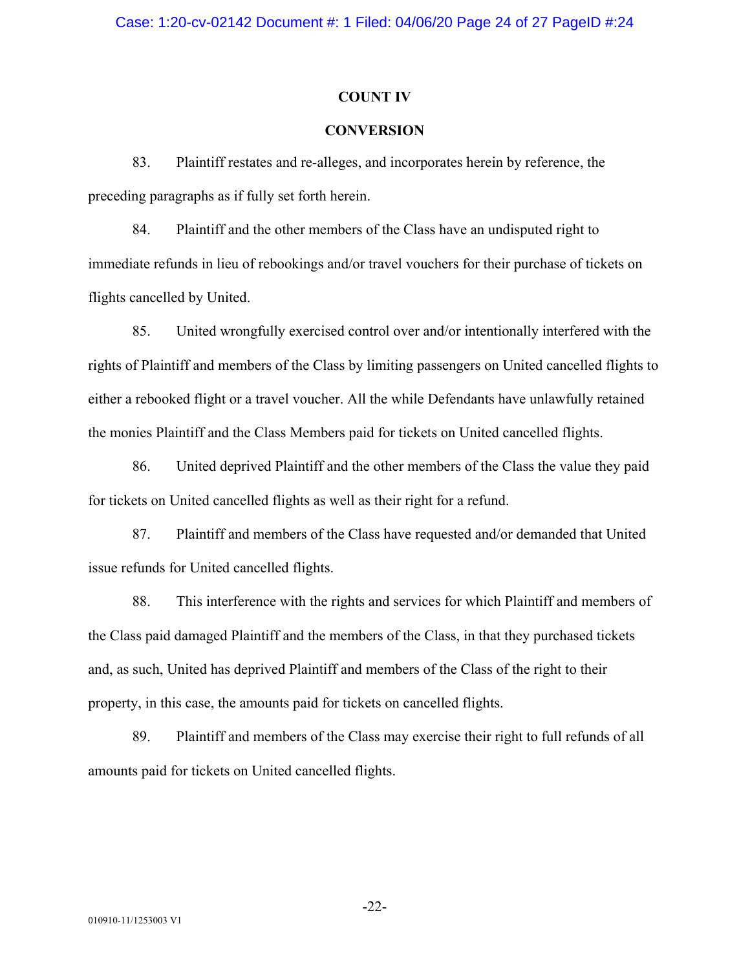#### **COUNT IV**

# **CONVERSION**

83. Plaintiff restates and re-alleges, and incorporates herein by reference, the preceding paragraphs as if fully set forth herein.

84. Plaintiff and the other members of the Class have an undisputed right to immediate refunds in lieu of rebookings and/or travel vouchers for their purchase of tickets on flights cancelled by United.

85. United wrongfully exercised control over and/or intentionally interfered with the rights of Plaintiff and members of the Class by limiting passengers on United cancelled flights to either a rebooked flight or a travel voucher. All the while Defendants have unlawfully retained the monies Plaintiff and the Class Members paid for tickets on United cancelled flights.

86. United deprived Plaintiff and the other members of the Class the value they paid for tickets on United cancelled flights as well as their right for a refund.

87. Plaintiff and members of the Class have requested and/or demanded that United issue refunds for United cancelled flights.

88. This interference with the rights and services for which Plaintiff and members of the Class paid damaged Plaintiff and the members of the Class, in that they purchased tickets and, as such, United has deprived Plaintiff and members of the Class of the right to their property, in this case, the amounts paid for tickets on cancelled flights.

89. Plaintiff and members of the Class may exercise their right to full refunds of all amounts paid for tickets on United cancelled flights.

-22-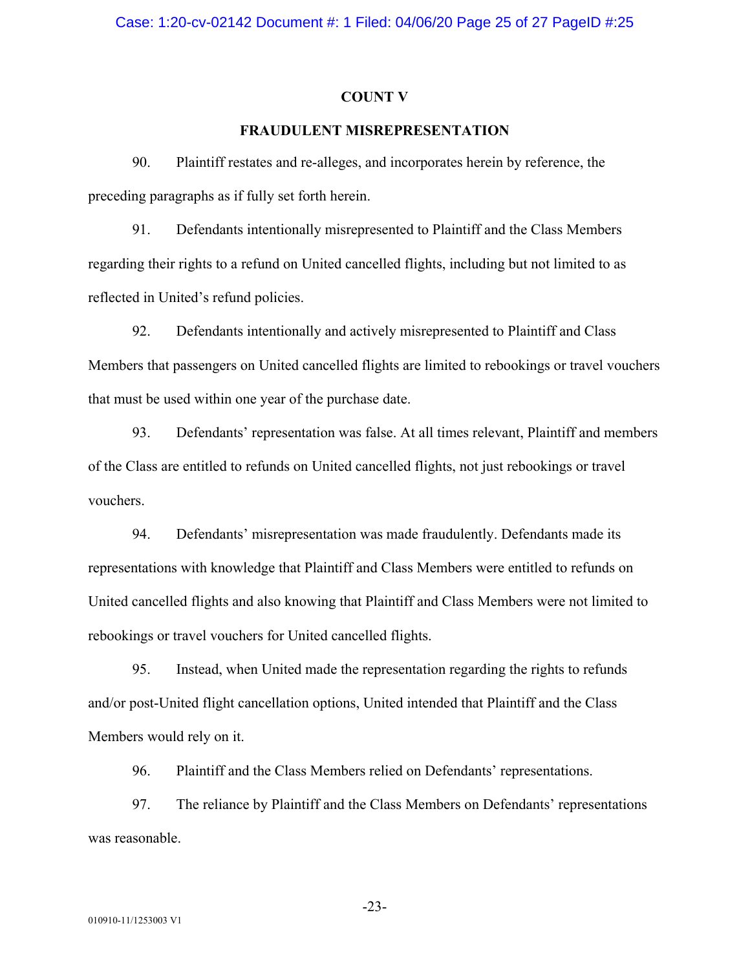#### **COUNT V**

# **FRAUDULENT MISREPRESENTATION**

90. Plaintiff restates and re-alleges, and incorporates herein by reference, the preceding paragraphs as if fully set forth herein.

91. Defendants intentionally misrepresented to Plaintiff and the Class Members regarding their rights to a refund on United cancelled flights, including but not limited to as reflected in United's refund policies.

92. Defendants intentionally and actively misrepresented to Plaintiff and Class Members that passengers on United cancelled flights are limited to rebookings or travel vouchers that must be used within one year of the purchase date.

93. Defendants' representation was false. At all times relevant, Plaintiff and members of the Class are entitled to refunds on United cancelled flights, not just rebookings or travel vouchers.

94. Defendants' misrepresentation was made fraudulently. Defendants made its representations with knowledge that Plaintiff and Class Members were entitled to refunds on United cancelled flights and also knowing that Plaintiff and Class Members were not limited to rebookings or travel vouchers for United cancelled flights.

95. Instead, when United made the representation regarding the rights to refunds and/or post-United flight cancellation options, United intended that Plaintiff and the Class Members would rely on it.

96. Plaintiff and the Class Members relied on Defendants' representations.

97. The reliance by Plaintiff and the Class Members on Defendants' representations was reasonable.

-23-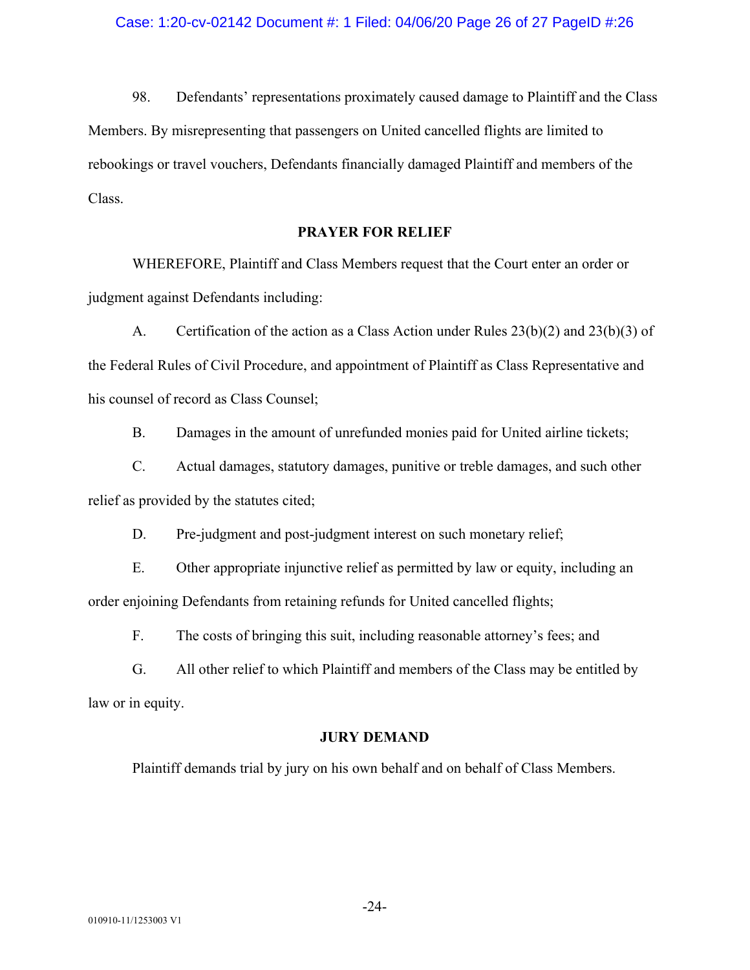98. Defendants' representations proximately caused damage to Plaintiff and the Class Members. By misrepresenting that passengers on United cancelled flights are limited to rebookings or travel vouchers, Defendants financially damaged Plaintiff and members of the Class.

# **PRAYER FOR RELIEF**

WHEREFORE, Plaintiff and Class Members request that the Court enter an order or judgment against Defendants including:

A. Certification of the action as a Class Action under Rules 23(b)(2) and 23(b)(3) of the Federal Rules of Civil Procedure, and appointment of Plaintiff as Class Representative and his counsel of record as Class Counsel;

B. Damages in the amount of unrefunded monies paid for United airline tickets;

C. Actual damages, statutory damages, punitive or treble damages, and such other relief as provided by the statutes cited;

D. Pre-judgment and post-judgment interest on such monetary relief;

E. Other appropriate injunctive relief as permitted by law or equity, including an order enjoining Defendants from retaining refunds for United cancelled flights;

F. The costs of bringing this suit, including reasonable attorney's fees; and

G. All other relief to which Plaintiff and members of the Class may be entitled by law or in equity.

#### **JURY DEMAND**

Plaintiff demands trial by jury on his own behalf and on behalf of Class Members.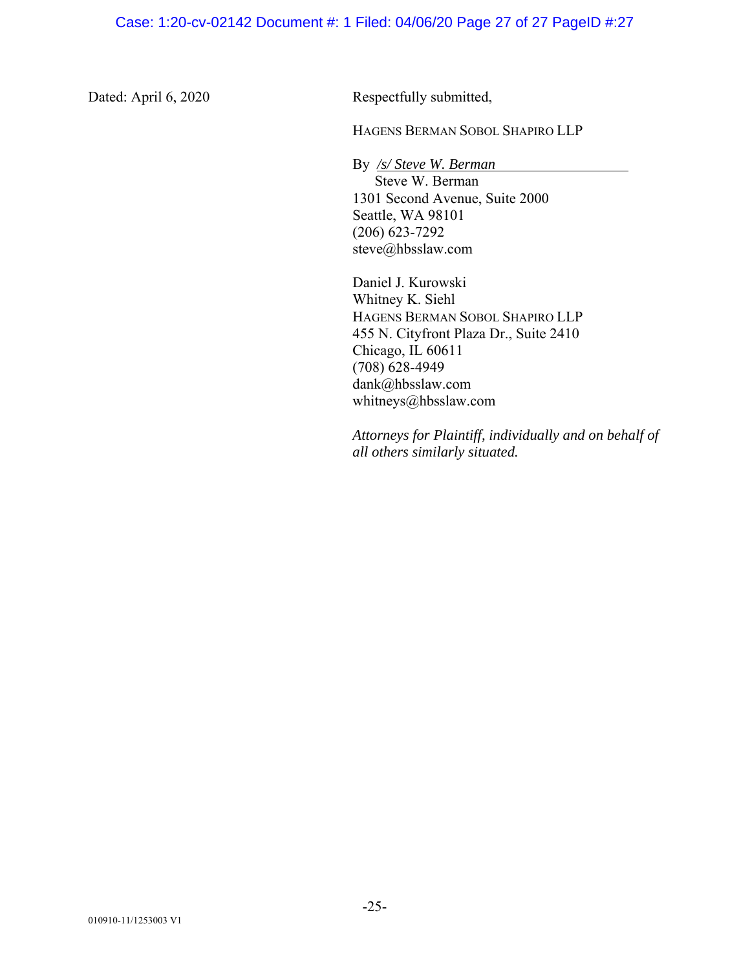Dated: April 6, 2020 Respectfully submitted,

HAGENS BERMAN SOBOL SHAPIRO LLP

By */s/ Steve W. Berman* Steve W. Berman 1301 Second Avenue, Suite 2000 Seattle, WA 98101 (206) 623-7292 steve@hbsslaw.com

Daniel J. Kurowski Whitney K. Siehl HAGENS BERMAN SOBOL SHAPIRO LLP 455 N. Cityfront Plaza Dr., Suite 2410 Chicago, IL 60611 (708) 628-4949 dank@hbsslaw.com whitneys@hbsslaw.com

*Attorneys for Plaintiff, individually and on behalf of all others similarly situated.*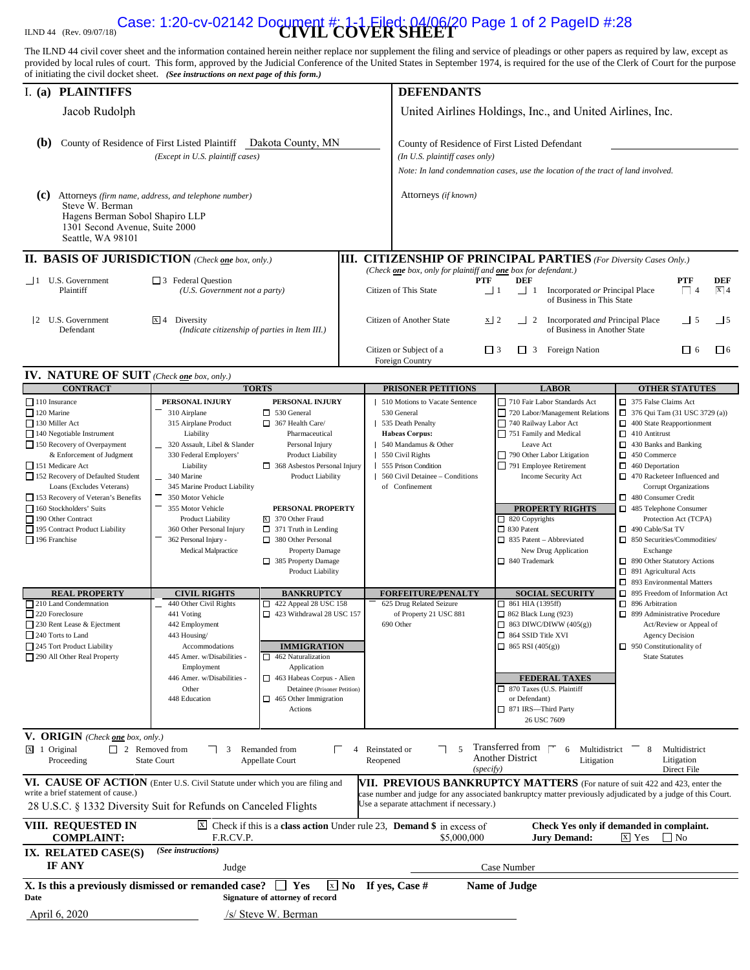# **CASE: 1:20-CV-02142 Document #** 1-1 Filed: 04/06/20 Page 1 of 2 PageID #:28<br>:**OVER SHEET**

The ILND 44 civil cover sheet and the information contained herein neither replace nor supplement the filing and service of pleadings or other papers as required by law, except as provided by local rules of court. This form, approved by the Judicial Conference of the United States in September 1974, is required for the use of the Clerk of Court for the purpose of initiating the civil docket sheet. *(See instructions on next page of this form.)*

| <b>PLAINTIFFS</b><br>I. $(a)$                                                                                                                                                                                                                                                                                                                                                                                                                                                                                                                                                                                                                                                                                                                                                                                 |                                                                                                                                                                                                                                                                                                                                                                                                                                                                                                                                                              |                                                                                                                                                                                                                                                                                                                                                                                                                                                                                                                                                                                                      | <b>DEFENDANTS</b> |                                                                                                                                                                                                                                                                                                                      |                                                                                                                                                                                                                                                                                                                                                                                                                                                                                                                                                                                                                                                 |                                                                                                                                                                                                                                                                                                                                                                                                                                                                                                                                                                                                                                                                                                          |  |  |
|---------------------------------------------------------------------------------------------------------------------------------------------------------------------------------------------------------------------------------------------------------------------------------------------------------------------------------------------------------------------------------------------------------------------------------------------------------------------------------------------------------------------------------------------------------------------------------------------------------------------------------------------------------------------------------------------------------------------------------------------------------------------------------------------------------------|--------------------------------------------------------------------------------------------------------------------------------------------------------------------------------------------------------------------------------------------------------------------------------------------------------------------------------------------------------------------------------------------------------------------------------------------------------------------------------------------------------------------------------------------------------------|------------------------------------------------------------------------------------------------------------------------------------------------------------------------------------------------------------------------------------------------------------------------------------------------------------------------------------------------------------------------------------------------------------------------------------------------------------------------------------------------------------------------------------------------------------------------------------------------------|-------------------|----------------------------------------------------------------------------------------------------------------------------------------------------------------------------------------------------------------------------------------------------------------------------------------------------------------------|-------------------------------------------------------------------------------------------------------------------------------------------------------------------------------------------------------------------------------------------------------------------------------------------------------------------------------------------------------------------------------------------------------------------------------------------------------------------------------------------------------------------------------------------------------------------------------------------------------------------------------------------------|----------------------------------------------------------------------------------------------------------------------------------------------------------------------------------------------------------------------------------------------------------------------------------------------------------------------------------------------------------------------------------------------------------------------------------------------------------------------------------------------------------------------------------------------------------------------------------------------------------------------------------------------------------------------------------------------------------|--|--|
| Jacob Rudolph                                                                                                                                                                                                                                                                                                                                                                                                                                                                                                                                                                                                                                                                                                                                                                                                 |                                                                                                                                                                                                                                                                                                                                                                                                                                                                                                                                                              |                                                                                                                                                                                                                                                                                                                                                                                                                                                                                                                                                                                                      |                   | United Airlines Holdings, Inc., and United Airlines, Inc.                                                                                                                                                                                                                                                            |                                                                                                                                                                                                                                                                                                                                                                                                                                                                                                                                                                                                                                                 |                                                                                                                                                                                                                                                                                                                                                                                                                                                                                                                                                                                                                                                                                                          |  |  |
| (b)<br>County of Residence of First Listed Plaintiff Dakota County, MN<br>(Except in U.S. plaintiff cases)                                                                                                                                                                                                                                                                                                                                                                                                                                                                                                                                                                                                                                                                                                    |                                                                                                                                                                                                                                                                                                                                                                                                                                                                                                                                                              |                                                                                                                                                                                                                                                                                                                                                                                                                                                                                                                                                                                                      |                   | County of Residence of First Listed Defendant<br>(In U.S. plaintiff cases only)<br>Note: In land condemnation cases, use the location of the tract of land involved.                                                                                                                                                 |                                                                                                                                                                                                                                                                                                                                                                                                                                                                                                                                                                                                                                                 |                                                                                                                                                                                                                                                                                                                                                                                                                                                                                                                                                                                                                                                                                                          |  |  |
| (c)<br>Attorneys (firm name, address, and telephone number)<br>Steve W. Berman<br>Hagens Berman Sobol Shapiro LLP<br>1301 Second Avenue, Suite 2000<br>Seattle, WA 98101                                                                                                                                                                                                                                                                                                                                                                                                                                                                                                                                                                                                                                      |                                                                                                                                                                                                                                                                                                                                                                                                                                                                                                                                                              |                                                                                                                                                                                                                                                                                                                                                                                                                                                                                                                                                                                                      |                   | Attorneys (if known)                                                                                                                                                                                                                                                                                                 |                                                                                                                                                                                                                                                                                                                                                                                                                                                                                                                                                                                                                                                 |                                                                                                                                                                                                                                                                                                                                                                                                                                                                                                                                                                                                                                                                                                          |  |  |
| <b>II. BASIS OF JURISDICTION</b> (Check one box, only.)                                                                                                                                                                                                                                                                                                                                                                                                                                                                                                                                                                                                                                                                                                                                                       |                                                                                                                                                                                                                                                                                                                                                                                                                                                                                                                                                              |                                                                                                                                                                                                                                                                                                                                                                                                                                                                                                                                                                                                      |                   | <b>III. CITIZENSHIP OF PRINCIPAL PARTIES</b> (For Diversity Cases Only.)                                                                                                                                                                                                                                             |                                                                                                                                                                                                                                                                                                                                                                                                                                                                                                                                                                                                                                                 |                                                                                                                                                                                                                                                                                                                                                                                                                                                                                                                                                                                                                                                                                                          |  |  |
| 1 U.S. Government<br>$\Box$ 3 Federal Question<br>Plaintiff<br>(U.S. Government not a party)                                                                                                                                                                                                                                                                                                                                                                                                                                                                                                                                                                                                                                                                                                                  |                                                                                                                                                                                                                                                                                                                                                                                                                                                                                                                                                              |                                                                                                                                                                                                                                                                                                                                                                                                                                                                                                                                                                                                      |                   | (Check one box, only for plaintiff and one box for defendant.)<br>DEF<br>PTF<br>DEF<br>PTF<br>$\overline{x}$ 4<br>Citizen of This State<br>Incorporated or Principal Place<br>$\overline{4}$<br>$\overline{\phantom{0}}$<br>$\vert$ 1<br>of Business in This State                                                   |                                                                                                                                                                                                                                                                                                                                                                                                                                                                                                                                                                                                                                                 |                                                                                                                                                                                                                                                                                                                                                                                                                                                                                                                                                                                                                                                                                                          |  |  |
| 2 U.S. Government<br>$X$ 4 Diversity<br>Defendant<br>(Indicate citizenship of parties in Item III.)                                                                                                                                                                                                                                                                                                                                                                                                                                                                                                                                                                                                                                                                                                           |                                                                                                                                                                                                                                                                                                                                                                                                                                                                                                                                                              |                                                                                                                                                                                                                                                                                                                                                                                                                                                                                                                                                                                                      |                   | Citizen of Another State<br>$x$ 2<br>$\overline{\phantom{0}}$ 2<br>Incorporated and Principal Place<br>$\overline{\phantom{0}}$ 5<br>$\Box$ 5<br>of Business in Another State                                                                                                                                        |                                                                                                                                                                                                                                                                                                                                                                                                                                                                                                                                                                                                                                                 |                                                                                                                                                                                                                                                                                                                                                                                                                                                                                                                                                                                                                                                                                                          |  |  |
|                                                                                                                                                                                                                                                                                                                                                                                                                                                                                                                                                                                                                                                                                                                                                                                                               |                                                                                                                                                                                                                                                                                                                                                                                                                                                                                                                                                              |                                                                                                                                                                                                                                                                                                                                                                                                                                                                                                                                                                                                      |                   | Foreign Nation<br>Citizen or Subject of a<br>$\Box$ 3<br>$\Box$ 3<br>$\Box$ 6<br>$\Box$ 6<br>Foreign Country                                                                                                                                                                                                         |                                                                                                                                                                                                                                                                                                                                                                                                                                                                                                                                                                                                                                                 |                                                                                                                                                                                                                                                                                                                                                                                                                                                                                                                                                                                                                                                                                                          |  |  |
| IV. NATURE OF SUIT (Check one box, only.)<br><b>CONTRACT</b>                                                                                                                                                                                                                                                                                                                                                                                                                                                                                                                                                                                                                                                                                                                                                  | <b>TORTS</b>                                                                                                                                                                                                                                                                                                                                                                                                                                                                                                                                                 |                                                                                                                                                                                                                                                                                                                                                                                                                                                                                                                                                                                                      |                   | <b>PRISONER PETITIONS</b>                                                                                                                                                                                                                                                                                            | <b>LABOR</b>                                                                                                                                                                                                                                                                                                                                                                                                                                                                                                                                                                                                                                    | <b>OTHER STATUTES</b>                                                                                                                                                                                                                                                                                                                                                                                                                                                                                                                                                                                                                                                                                    |  |  |
| 110 Insurance<br>$\Box$ 120 Marine<br>130 Miller Act<br>140 Negotiable Instrument<br>150 Recovery of Overpayment<br>& Enforcement of Judgment<br>151 Medicare Act<br>152 Recovery of Defaulted Student<br>Loans (Excludes Veterans)<br>153 Recovery of Veteran's Benefits<br>160 Stockholders' Suits<br>190 Other Contract<br>195 Contract Product Liability<br>196 Franchise<br><b>REAL PROPERTY</b><br>210 Land Condemnation<br>220 Foreclosure<br>230 Rent Lease & Ejectment<br>240 Torts to Land<br>245 Tort Product Liability<br>290 All Other Real Property                                                                                                                                                                                                                                             | PERSONAL INJURY<br>310 Airplane<br>315 Airplane Product<br>Liability<br>320 Assault, Libel & Slander<br>330 Federal Employers'<br>Liability<br>340 Marine<br>345 Marine Product Liability<br>350 Motor Vehicle<br>355 Motor Vehicle<br>Product Liability<br>360 Other Personal Injury<br>362 Personal Injury -<br>Medical Malpractice<br><b>CIVIL RIGHTS</b><br>440 Other Civil Rights<br>441 Voting<br>442 Employment<br>443 Housing/<br>Accommodations<br>445 Amer. w/Disabilities -<br>Employment<br>446 Amer. w/Disabilities -<br>Other<br>448 Education | PERSONAL INJURY<br>$\Box$ 530 General<br>367 Health Care/<br>Pharmaceutical<br>Personal Injury<br>Product Liability<br>368 Asbestos Personal Injury<br>Product Liability<br>PERSONAL PROPERTY<br>8 370 Other Fraud<br>$\Box$ 371 Truth in Lending<br>380 Other Personal<br><b>Property Damage</b><br>385 Property Damage<br>Product Liability<br><b>BANKRUPTCY</b><br>$\Box$ 422 Appeal 28 USC 158<br>□ 423 Withdrawal 28 USC 157<br><b>IMMIGRATION</b><br>462 Naturalization<br>Application<br>463 Habeas Corpus - Alien<br>Detainee (Prisoner Petition)<br>$\Box$ 465 Other Immigration<br>Actions |                   | 510 Motions to Vacate Sentence<br>530 General<br>535 Death Penalty<br><b>Habeas Corpus:</b><br>540 Mandamus & Other<br>550 Civil Rights<br>555 Prison Condition<br>560 Civil Detainee - Conditions<br>of Confinement<br><b>FORFEITURE/PENALTY</b><br>625 Drug Related Seizure<br>of Property 21 USC 881<br>690 Other | 710 Fair Labor Standards Act<br>720 Labor/Management Relations<br>740 Railway Labor Act<br>751 Family and Medical<br>Leave Act<br>790 Other Labor Litigation<br>791 Employee Retirement<br>Income Security Act<br><b>PROPERTY RIGHTS</b><br>$\Box$ 820 Copyrights<br>□ 830 Patent<br>$\Box$ 835 Patent - Abbreviated<br>New Drug Application<br>$\Box$ 840 Trademark<br><b>SOCIAL SECURITY</b><br>$\Box$ 861 HIA (1395ff)<br>862 Black Lung (923)<br>$\Box$ 863 DIWC/DIWW (405(g))<br>864 SSID Title XVI<br>$\Box$ 865 RSI (405(g))<br><b>FEDERAL TAXES</b><br>870 Taxes (U.S. Plaintiff<br>or Defendant)<br>871 IRS-Third Party<br>26 USC 7609 | 375 False Claims Act<br>376 Qui Tam (31 USC 3729 (a))<br>400 State Reapportionment<br>$\Box$ 410 Antitrust<br>□<br>430 Banks and Banking<br>$\Box$ 450 Commerce<br>$\Box$ 460 Deportation<br>470 Racketeer Influenced and<br>Corrupt Organizations<br>480 Consumer Credit<br>485 Telephone Consumer<br>Protection Act (TCPA)<br>490 Cable/Sat TV<br>□ 850 Securities/Commodities/<br>Exchange<br>890 Other Statutory Actions<br>891 Agricultural Acts<br>Π.<br>893 Environmental Matters<br>□<br>895 Freedom of Information Act<br>□<br>896 Arbitration<br>899 Administrative Procedure<br>Act/Review or Appeal of<br><b>Agency Decision</b><br>$\Box$ 950 Constitutionality of<br><b>State Statutes</b> |  |  |
| V. ORIGIN (Check one box, only.)<br>Transferred from<br>$\overline{X}$ 1 Original<br>$\Box$ 2 Removed from<br>Remanded from<br>Reinstated or<br>$\overline{\phantom{0}}$<br>6<br>Multidistrict<br>Multidistrict<br>8<br><b>Another District</b><br>Litigation<br><b>State Court</b><br>Litigation<br>Proceeding<br>Appellate Court<br>Reopened<br>(specify)<br>Direct File<br>VI. CAUSE OF ACTION (Enter U.S. Civil Statute under which you are filing and<br>VII. PREVIOUS BANKRUPTCY MATTERS (For nature of suit 422 and 423, enter the<br>write a brief statement of cause.)<br>case number and judge for any associated bankruptcy matter previously adjudicated by a judge of this Court.<br>Use a separate attachment if necessary.)<br>28 U.S.C. § 1332 Diversity Suit for Refunds on Canceled Flights |                                                                                                                                                                                                                                                                                                                                                                                                                                                                                                                                                              |                                                                                                                                                                                                                                                                                                                                                                                                                                                                                                                                                                                                      |                   |                                                                                                                                                                                                                                                                                                                      |                                                                                                                                                                                                                                                                                                                                                                                                                                                                                                                                                                                                                                                 |                                                                                                                                                                                                                                                                                                                                                                                                                                                                                                                                                                                                                                                                                                          |  |  |
| VIII. REQUESTED IN<br><b>COMPLAINT:</b>                                                                                                                                                                                                                                                                                                                                                                                                                                                                                                                                                                                                                                                                                                                                                                       | F.R.CV.P.                                                                                                                                                                                                                                                                                                                                                                                                                                                                                                                                                    |                                                                                                                                                                                                                                                                                                                                                                                                                                                                                                                                                                                                      |                   | $\overline{X}$ Check if this is a <b>class action</b> Under rule 23, <b>Demand</b> \$ in excess of<br>\$5,000,000                                                                                                                                                                                                    | <b>Jury Demand:</b>                                                                                                                                                                                                                                                                                                                                                                                                                                                                                                                                                                                                                             | Check Yes only if demanded in complaint.<br>x Yes<br>$\Box$ No                                                                                                                                                                                                                                                                                                                                                                                                                                                                                                                                                                                                                                           |  |  |
| IX. RELATED CASE(S)<br>IF ANY                                                                                                                                                                                                                                                                                                                                                                                                                                                                                                                                                                                                                                                                                                                                                                                 | (See instructions)<br>Judge                                                                                                                                                                                                                                                                                                                                                                                                                                                                                                                                  |                                                                                                                                                                                                                                                                                                                                                                                                                                                                                                                                                                                                      |                   | Case Number                                                                                                                                                                                                                                                                                                          |                                                                                                                                                                                                                                                                                                                                                                                                                                                                                                                                                                                                                                                 |                                                                                                                                                                                                                                                                                                                                                                                                                                                                                                                                                                                                                                                                                                          |  |  |
| X. Is this a previously dismissed or remanded case?<br>Date                                                                                                                                                                                                                                                                                                                                                                                                                                                                                                                                                                                                                                                                                                                                                   |                                                                                                                                                                                                                                                                                                                                                                                                                                                                                                                                                              | Yes<br>Signature of attorney of record                                                                                                                                                                                                                                                                                                                                                                                                                                                                                                                                                               | $x \mathbf{No}$   | If yes, Case #                                                                                                                                                                                                                                                                                                       | <b>Name of Judge</b>                                                                                                                                                                                                                                                                                                                                                                                                                                                                                                                                                                                                                            |                                                                                                                                                                                                                                                                                                                                                                                                                                                                                                                                                                                                                                                                                                          |  |  |
| April 6, 2020                                                                                                                                                                                                                                                                                                                                                                                                                                                                                                                                                                                                                                                                                                                                                                                                 |                                                                                                                                                                                                                                                                                                                                                                                                                                                                                                                                                              | /s/ Steve W. Berman                                                                                                                                                                                                                                                                                                                                                                                                                                                                                                                                                                                  |                   |                                                                                                                                                                                                                                                                                                                      |                                                                                                                                                                                                                                                                                                                                                                                                                                                                                                                                                                                                                                                 |                                                                                                                                                                                                                                                                                                                                                                                                                                                                                                                                                                                                                                                                                                          |  |  |